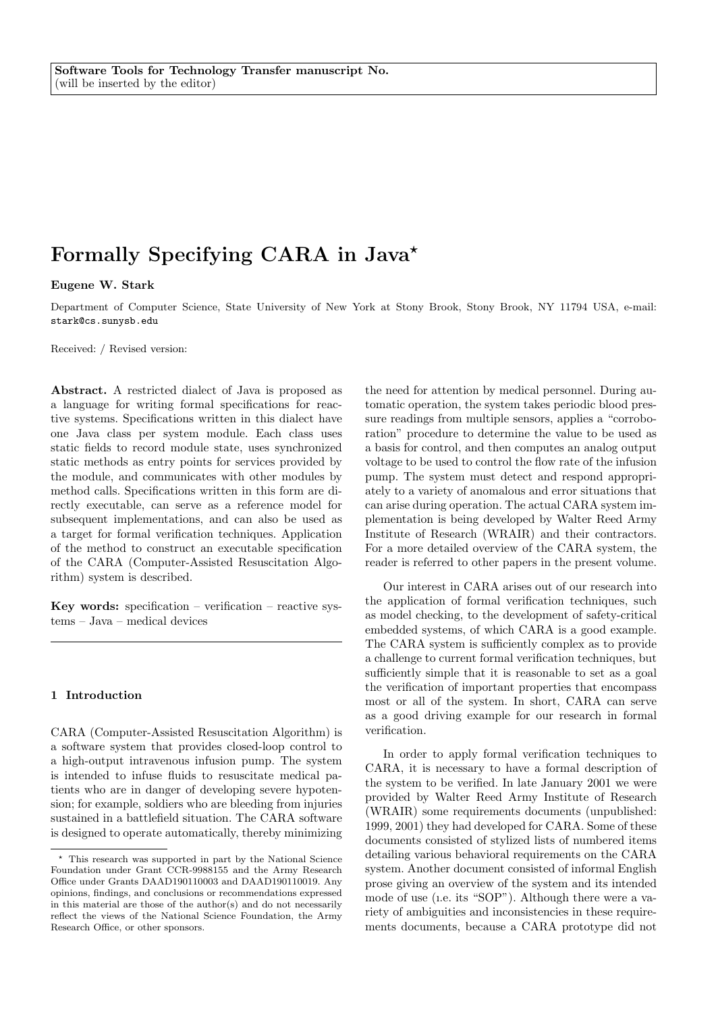# Formally Specifying CARA in Java?

Eugene W. Stark

Department of Computer Science, State University of New York at Stony Brook, Stony Brook, NY 11794 USA, e-mail: stark@cs.sunysb.edu

Received: / Revised version:

Abstract. A restricted dialect of Java is proposed as a language for writing formal specifications for reactive systems. Specifications written in this dialect have one Java class per system module. Each class uses static fields to record module state, uses synchronized static methods as entry points for services provided by the module, and communicates with other modules by method calls. Specifications written in this form are directly executable, can serve as a reference model for subsequent implementations, and can also be used as a target for formal verification techniques. Application of the method to construct an executable specification of the CARA (Computer-Assisted Resuscitation Algorithm) system is described.

Key words: specification – verification – reactive systems – Java – medical devices

## 1 Introduction

CARA (Computer-Assisted Resuscitation Algorithm) is a software system that provides closed-loop control to a high-output intravenous infusion pump. The system is intended to infuse fluids to resuscitate medical patients who are in danger of developing severe hypotension; for example, soldiers who are bleeding from injuries sustained in a battlefield situation. The CARA software is designed to operate automatically, thereby minimizing the need for attention by medical personnel. During automatic operation, the system takes periodic blood pressure readings from multiple sensors, applies a "corroboration" procedure to determine the value to be used as a basis for control, and then computes an analog output voltage to be used to control the flow rate of the infusion pump. The system must detect and respond appropriately to a variety of anomalous and error situations that can arise during operation. The actual CARA system implementation is being developed by Walter Reed Army Institute of Research (WRAIR) and their contractors. For a more detailed overview of the CARA system, the reader is referred to other papers in the present volume.

Our interest in CARA arises out of our research into the application of formal verification techniques, such as model checking, to the development of safety-critical embedded systems, of which CARA is a good example. The CARA system is sufficiently complex as to provide a challenge to current formal verification techniques, but sufficiently simple that it is reasonable to set as a goal the verification of important properties that encompass most or all of the system. In short, CARA can serve as a good driving example for our research in formal verification.

In order to apply formal verification techniques to CARA, it is necessary to have a formal description of the system to be verified. In late January 2001 we were provided by Walter Reed Army Institute of Research (WRAIR) some requirements documents (unpublished: 1999, 2001) they had developed for CARA. Some of these documents consisted of stylized lists of numbered items detailing various behavioral requirements on the CARA system. Another document consisted of informal English prose giving an overview of the system and its intended mode of use (ı.e. its "SOP"). Although there were a variety of ambiguities and inconsistencies in these requirements documents, because a CARA prototype did not

<sup>?</sup> This research was supported in part by the National Science Foundation under Grant CCR-9988155 and the Army Research Office under Grants DAAD190110003 and DAAD190110019. Any opinions, findings, and conclusions or recommendations expressed in this material are those of the author(s) and do not necessarily reflect the views of the National Science Foundation, the Army Research Office, or other sponsors.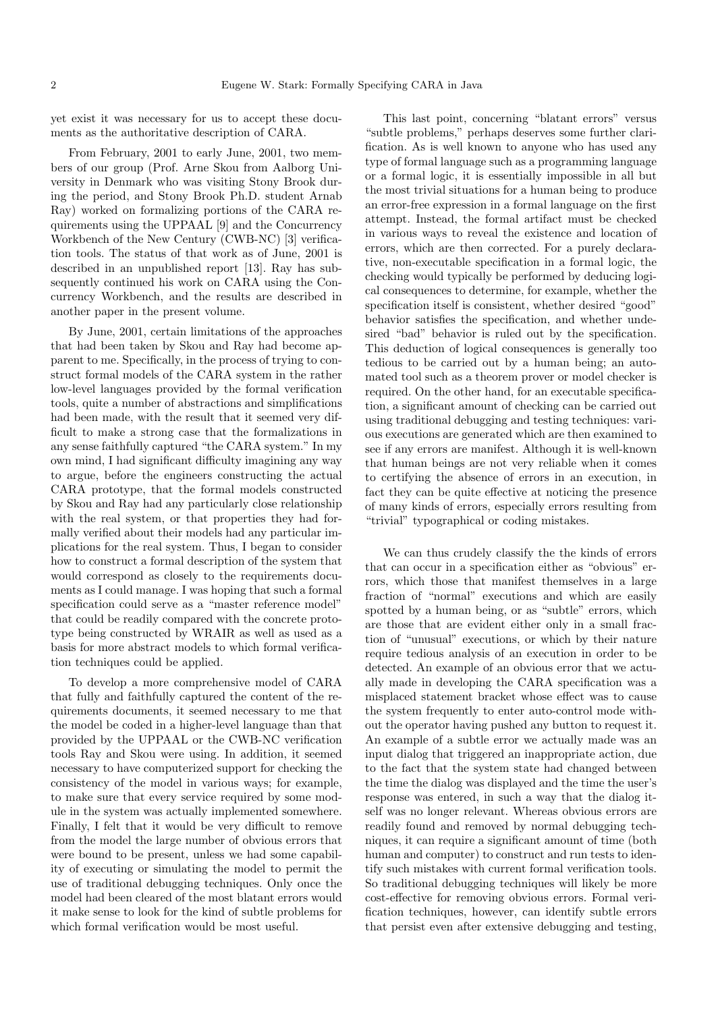yet exist it was necessary for us to accept these documents as the authoritative description of CARA.

From February, 2001 to early June, 2001, two members of our group (Prof. Arne Skou from Aalborg University in Denmark who was visiting Stony Brook during the period, and Stony Brook Ph.D. student Arnab Ray) worked on formalizing portions of the CARA requirements using the UPPAAL [9] and the Concurrency Workbench of the New Century (CWB-NC) [3] verification tools. The status of that work as of June, 2001 is described in an unpublished report [13]. Ray has subsequently continued his work on CARA using the Concurrency Workbench, and the results are described in another paper in the present volume.

By June, 2001, certain limitations of the approaches that had been taken by Skou and Ray had become apparent to me. Specifically, in the process of trying to construct formal models of the CARA system in the rather low-level languages provided by the formal verification tools, quite a number of abstractions and simplifications had been made, with the result that it seemed very difficult to make a strong case that the formalizations in any sense faithfully captured "the CARA system." In my own mind, I had significant difficulty imagining any way to argue, before the engineers constructing the actual CARA prototype, that the formal models constructed by Skou and Ray had any particularly close relationship with the real system, or that properties they had formally verified about their models had any particular implications for the real system. Thus, I began to consider how to construct a formal description of the system that would correspond as closely to the requirements documents as I could manage. I was hoping that such a formal specification could serve as a "master reference model" that could be readily compared with the concrete prototype being constructed by WRAIR as well as used as a basis for more abstract models to which formal verification techniques could be applied.

To develop a more comprehensive model of CARA that fully and faithfully captured the content of the requirements documents, it seemed necessary to me that the model be coded in a higher-level language than that provided by the UPPAAL or the CWB-NC verification tools Ray and Skou were using. In addition, it seemed necessary to have computerized support for checking the consistency of the model in various ways; for example, to make sure that every service required by some module in the system was actually implemented somewhere. Finally, I felt that it would be very difficult to remove from the model the large number of obvious errors that were bound to be present, unless we had some capability of executing or simulating the model to permit the use of traditional debugging techniques. Only once the model had been cleared of the most blatant errors would it make sense to look for the kind of subtle problems for which formal verification would be most useful.

This last point, concerning "blatant errors" versus "subtle problems," perhaps deserves some further clarification. As is well known to anyone who has used any type of formal language such as a programming language or a formal logic, it is essentially impossible in all but the most trivial situations for a human being to produce an error-free expression in a formal language on the first attempt. Instead, the formal artifact must be checked in various ways to reveal the existence and location of errors, which are then corrected. For a purely declarative, non-executable specification in a formal logic, the checking would typically be performed by deducing logical consequences to determine, for example, whether the specification itself is consistent, whether desired "good" behavior satisfies the specification, and whether undesired "bad" behavior is ruled out by the specification. This deduction of logical consequences is generally too tedious to be carried out by a human being; an automated tool such as a theorem prover or model checker is required. On the other hand, for an executable specification, a significant amount of checking can be carried out using traditional debugging and testing techniques: various executions are generated which are then examined to see if any errors are manifest. Although it is well-known that human beings are not very reliable when it comes to certifying the absence of errors in an execution, in fact they can be quite effective at noticing the presence of many kinds of errors, especially errors resulting from "trivial" typographical or coding mistakes.

We can thus crudely classify the the kinds of errors that can occur in a specification either as "obvious" errors, which those that manifest themselves in a large fraction of "normal" executions and which are easily spotted by a human being, or as "subtle" errors, which are those that are evident either only in a small fraction of "unusual" executions, or which by their nature require tedious analysis of an execution in order to be detected. An example of an obvious error that we actually made in developing the CARA specification was a misplaced statement bracket whose effect was to cause the system frequently to enter auto-control mode without the operator having pushed any button to request it. An example of a subtle error we actually made was an input dialog that triggered an inappropriate action, due to the fact that the system state had changed between the time the dialog was displayed and the time the user's response was entered, in such a way that the dialog itself was no longer relevant. Whereas obvious errors are readily found and removed by normal debugging techniques, it can require a significant amount of time (both human and computer) to construct and run tests to identify such mistakes with current formal verification tools. So traditional debugging techniques will likely be more cost-effective for removing obvious errors. Formal verification techniques, however, can identify subtle errors that persist even after extensive debugging and testing,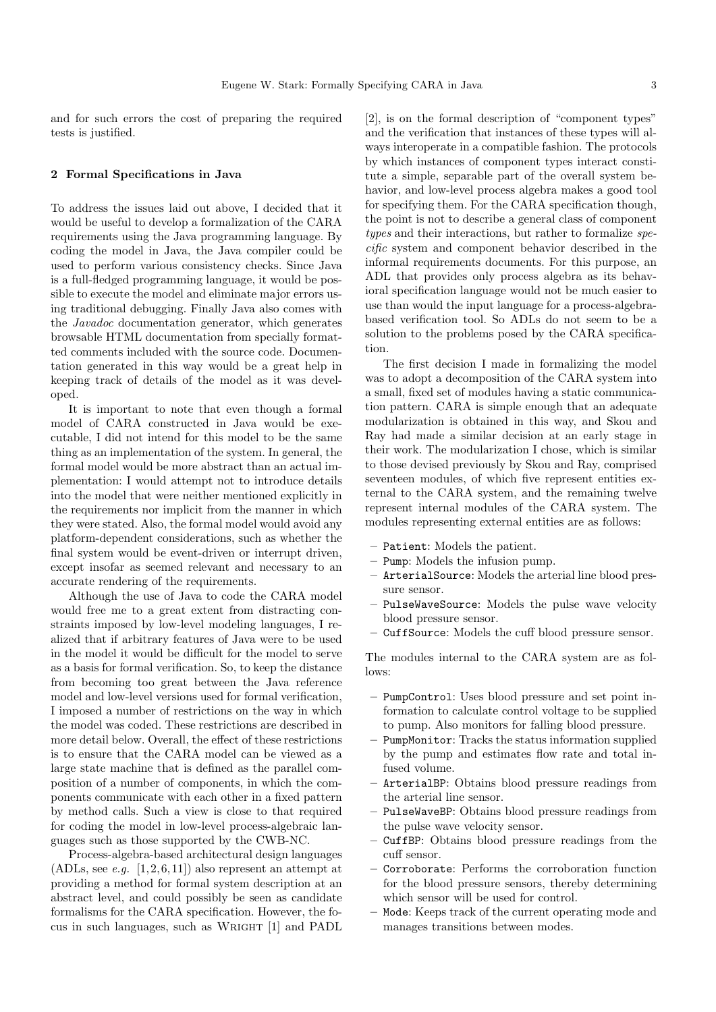and for such errors the cost of preparing the required tests is justified.

#### 2 Formal Specifications in Java

To address the issues laid out above, I decided that it would be useful to develop a formalization of the CARA requirements using the Java programming language. By coding the model in Java, the Java compiler could be used to perform various consistency checks. Since Java is a full-fledged programming language, it would be possible to execute the model and eliminate major errors using traditional debugging. Finally Java also comes with the Javadoc documentation generator, which generates browsable HTML documentation from specially formatted comments included with the source code. Documentation generated in this way would be a great help in keeping track of details of the model as it was developed.

It is important to note that even though a formal model of CARA constructed in Java would be executable, I did not intend for this model to be the same thing as an implementation of the system. In general, the formal model would be more abstract than an actual implementation: I would attempt not to introduce details into the model that were neither mentioned explicitly in the requirements nor implicit from the manner in which they were stated. Also, the formal model would avoid any platform-dependent considerations, such as whether the final system would be event-driven or interrupt driven, except insofar as seemed relevant and necessary to an accurate rendering of the requirements.

Although the use of Java to code the CARA model would free me to a great extent from distracting constraints imposed by low-level modeling languages, I realized that if arbitrary features of Java were to be used in the model it would be difficult for the model to serve as a basis for formal verification. So, to keep the distance from becoming too great between the Java reference model and low-level versions used for formal verification, I imposed a number of restrictions on the way in which the model was coded. These restrictions are described in more detail below. Overall, the effect of these restrictions is to ensure that the CARA model can be viewed as a large state machine that is defined as the parallel composition of a number of components, in which the components communicate with each other in a fixed pattern by method calls. Such a view is close to that required for coding the model in low-level process-algebraic languages such as those supported by the CWB-NC.

Process-algebra-based architectural design languages (ADLs, see *e.g.*  $[1, 2, 6, 11]$ ) also represent an attempt at providing a method for formal system description at an abstract level, and could possibly be seen as candidate formalisms for the CARA specification. However, the focus in such languages, such as Wright [1] and PADL [2], is on the formal description of "component types" and the verification that instances of these types will always interoperate in a compatible fashion. The protocols by which instances of component types interact constitute a simple, separable part of the overall system behavior, and low-level process algebra makes a good tool for specifying them. For the CARA specification though, the point is not to describe a general class of component types and their interactions, but rather to formalize specific system and component behavior described in the informal requirements documents. For this purpose, an ADL that provides only process algebra as its behavioral specification language would not be much easier to use than would the input language for a process-algebrabased verification tool. So ADLs do not seem to be a solution to the problems posed by the CARA specification.

The first decision I made in formalizing the model was to adopt a decomposition of the CARA system into a small, fixed set of modules having a static communication pattern. CARA is simple enough that an adequate modularization is obtained in this way, and Skou and Ray had made a similar decision at an early stage in their work. The modularization I chose, which is similar to those devised previously by Skou and Ray, comprised seventeen modules, of which five represent entities external to the CARA system, and the remaining twelve represent internal modules of the CARA system. The modules representing external entities are as follows:

- Patient: Models the patient.
- Pump: Models the infusion pump.
- ArterialSource: Models the arterial line blood pressure sensor.
- PulseWaveSource: Models the pulse wave velocity blood pressure sensor.
- CuffSource: Models the cuff blood pressure sensor.

The modules internal to the CARA system are as follows:

- PumpControl: Uses blood pressure and set point information to calculate control voltage to be supplied to pump. Also monitors for falling blood pressure.
- PumpMonitor: Tracks the status information supplied by the pump and estimates flow rate and total infused volume.
- ArterialBP: Obtains blood pressure readings from the arterial line sensor.
- PulseWaveBP: Obtains blood pressure readings from the pulse wave velocity sensor.
- CuffBP: Obtains blood pressure readings from the cuff sensor.
- Corroborate: Performs the corroboration function for the blood pressure sensors, thereby determining which sensor will be used for control.
- Mode: Keeps track of the current operating mode and manages transitions between modes.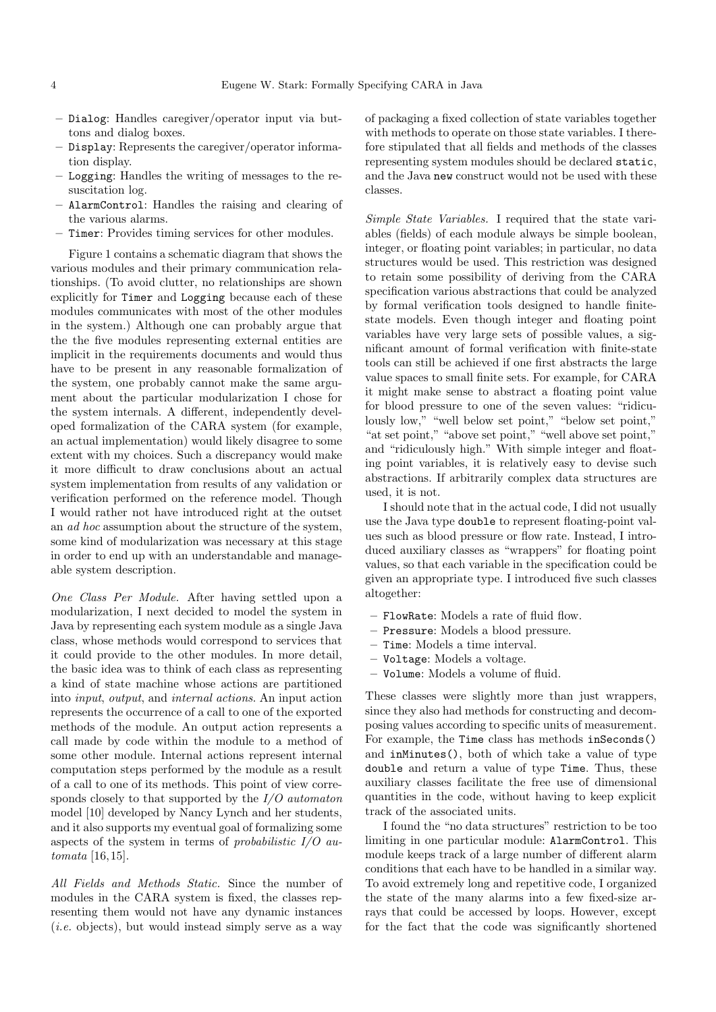- Dialog: Handles caregiver/operator input via buttons and dialog boxes.
- Display: Represents the caregiver/operator information display.
- Logging: Handles the writing of messages to the resuscitation log.
- AlarmControl: Handles the raising and clearing of the various alarms.
- Timer: Provides timing services for other modules.

Figure 1 contains a schematic diagram that shows the various modules and their primary communication relationships. (To avoid clutter, no relationships are shown explicitly for Timer and Logging because each of these modules communicates with most of the other modules in the system.) Although one can probably argue that the the five modules representing external entities are implicit in the requirements documents and would thus have to be present in any reasonable formalization of the system, one probably cannot make the same argument about the particular modularization I chose for the system internals. A different, independently developed formalization of the CARA system (for example, an actual implementation) would likely disagree to some extent with my choices. Such a discrepancy would make it more difficult to draw conclusions about an actual system implementation from results of any validation or verification performed on the reference model. Though I would rather not have introduced right at the outset an ad hoc assumption about the structure of the system, some kind of modularization was necessary at this stage in order to end up with an understandable and manageable system description.

One Class Per Module. After having settled upon a modularization, I next decided to model the system in Java by representing each system module as a single Java class, whose methods would correspond to services that it could provide to the other modules. In more detail, the basic idea was to think of each class as representing a kind of state machine whose actions are partitioned into input, output, and internal actions. An input action represents the occurrence of a call to one of the exported methods of the module. An output action represents a call made by code within the module to a method of some other module. Internal actions represent internal computation steps performed by the module as a result of a call to one of its methods. This point of view corresponds closely to that supported by the  $I/O$  automaton model [10] developed by Nancy Lynch and her students, and it also supports my eventual goal of formalizing some aspects of the system in terms of *probabilistic I/O au*tomata [16,15].

All Fields and Methods Static. Since the number of modules in the CARA system is fixed, the classes representing them would not have any dynamic instances (i.e. objects), but would instead simply serve as a way of packaging a fixed collection of state variables together with methods to operate on those state variables. I therefore stipulated that all fields and methods of the classes representing system modules should be declared static, and the Java new construct would not be used with these classes.

Simple State Variables. I required that the state variables (fields) of each module always be simple boolean, integer, or floating point variables; in particular, no data structures would be used. This restriction was designed to retain some possibility of deriving from the CARA specification various abstractions that could be analyzed by formal verification tools designed to handle finitestate models. Even though integer and floating point variables have very large sets of possible values, a significant amount of formal verification with finite-state tools can still be achieved if one first abstracts the large value spaces to small finite sets. For example, for CARA it might make sense to abstract a floating point value for blood pressure to one of the seven values: "ridiculously low," "well below set point," "below set point," "at set point," "above set point," "well above set point," and "ridiculously high." With simple integer and floating point variables, it is relatively easy to devise such abstractions. If arbitrarily complex data structures are used, it is not.

I should note that in the actual code, I did not usually use the Java type double to represent floating-point values such as blood pressure or flow rate. Instead, I introduced auxiliary classes as "wrappers" for floating point values, so that each variable in the specification could be given an appropriate type. I introduced five such classes altogether:

- FlowRate: Models a rate of fluid flow.
- Pressure: Models a blood pressure.
- Time: Models a time interval.
- Voltage: Models a voltage.
- Volume: Models a volume of fluid.

These classes were slightly more than just wrappers, since they also had methods for constructing and decomposing values according to specific units of measurement. For example, the Time class has methods inSeconds() and inMinutes(), both of which take a value of type double and return a value of type Time. Thus, these auxiliary classes facilitate the free use of dimensional quantities in the code, without having to keep explicit track of the associated units.

I found the "no data structures" restriction to be too limiting in one particular module: AlarmControl. This module keeps track of a large number of different alarm conditions that each have to be handled in a similar way. To avoid extremely long and repetitive code, I organized the state of the many alarms into a few fixed-size arrays that could be accessed by loops. However, except for the fact that the code was significantly shortened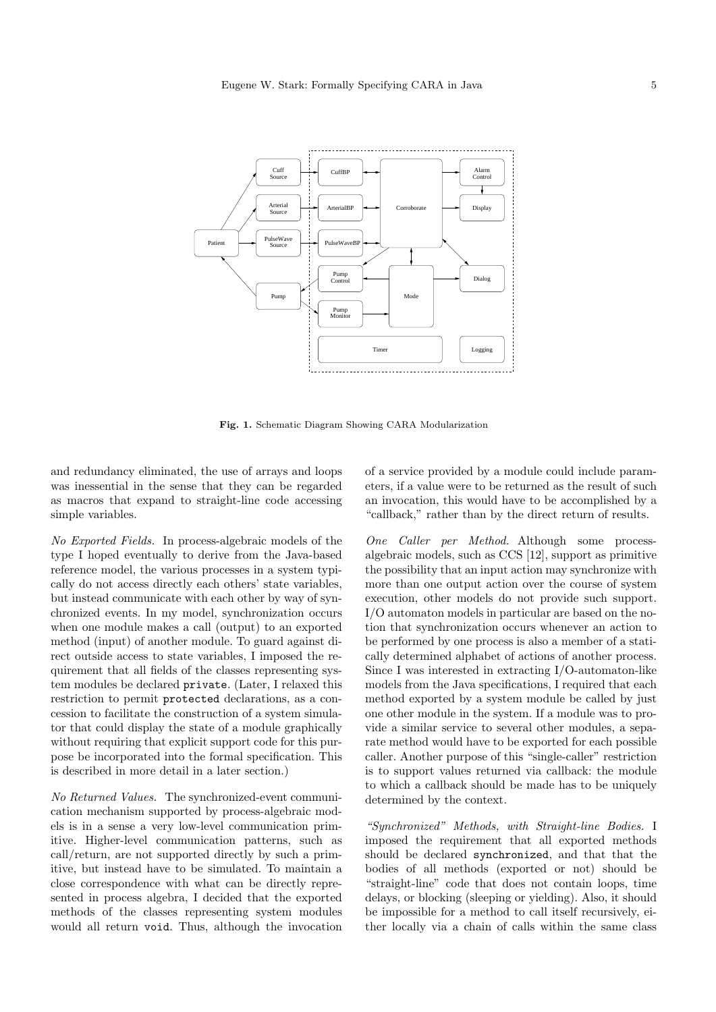

Fig. 1. Schematic Diagram Showing CARA Modularization

and redundancy eliminated, the use of arrays and loops was inessential in the sense that they can be regarded as macros that expand to straight-line code accessing simple variables.

No Exported Fields. In process-algebraic models of the type I hoped eventually to derive from the Java-based reference model, the various processes in a system typically do not access directly each others' state variables, but instead communicate with each other by way of synchronized events. In my model, synchronization occurs when one module makes a call (output) to an exported method (input) of another module. To guard against direct outside access to state variables, I imposed the requirement that all fields of the classes representing system modules be declared private. (Later, I relaxed this restriction to permit protected declarations, as a concession to facilitate the construction of a system simulator that could display the state of a module graphically without requiring that explicit support code for this purpose be incorporated into the formal specification. This is described in more detail in a later section.)

No Returned Values. The synchronized-event communication mechanism supported by process-algebraic models is in a sense a very low-level communication primitive. Higher-level communication patterns, such as call/return, are not supported directly by such a primitive, but instead have to be simulated. To maintain a close correspondence with what can be directly represented in process algebra, I decided that the exported methods of the classes representing system modules would all return void. Thus, although the invocation of a service provided by a module could include parameters, if a value were to be returned as the result of such an invocation, this would have to be accomplished by a "callback," rather than by the direct return of results.

One Caller per Method. Although some processalgebraic models, such as CCS [12], support as primitive the possibility that an input action may synchronize with more than one output action over the course of system execution, other models do not provide such support. I/O automaton models in particular are based on the notion that synchronization occurs whenever an action to be performed by one process is also a member of a statically determined alphabet of actions of another process. Since I was interested in extracting I/O-automaton-like models from the Java specifications, I required that each method exported by a system module be called by just one other module in the system. If a module was to provide a similar service to several other modules, a separate method would have to be exported for each possible caller. Another purpose of this "single-caller" restriction is to support values returned via callback: the module to which a callback should be made has to be uniquely determined by the context.

"Synchronized" Methods, with Straight-line Bodies. I imposed the requirement that all exported methods should be declared synchronized, and that that the bodies of all methods (exported or not) should be "straight-line" code that does not contain loops, time delays, or blocking (sleeping or yielding). Also, it should be impossible for a method to call itself recursively, either locally via a chain of calls within the same class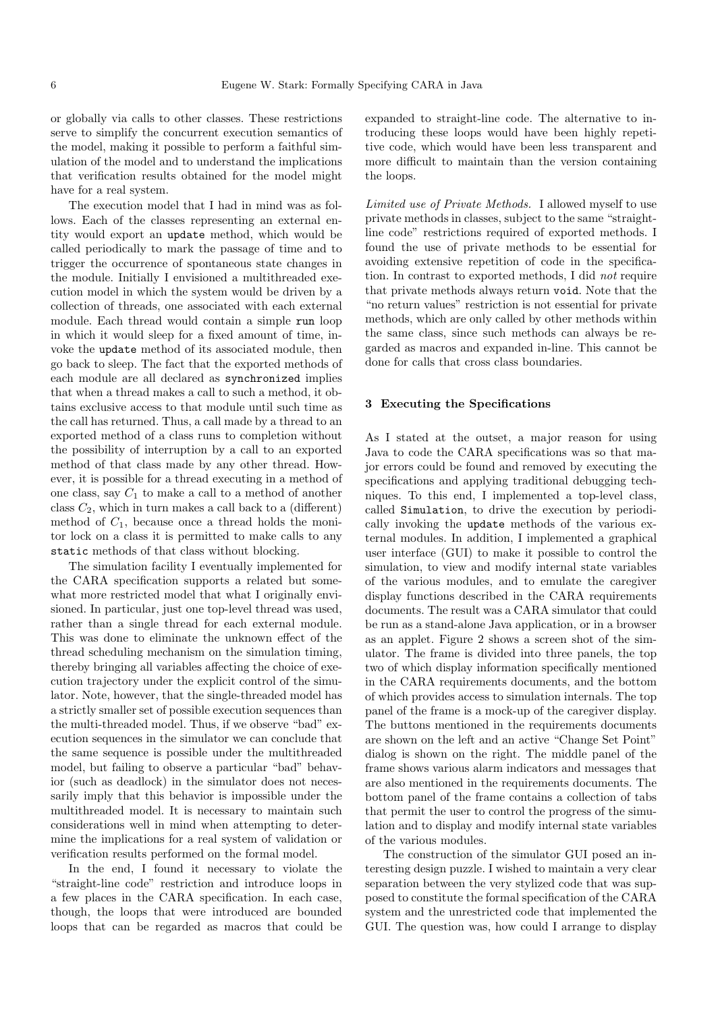or globally via calls to other classes. These restrictions serve to simplify the concurrent execution semantics of the model, making it possible to perform a faithful simulation of the model and to understand the implications that verification results obtained for the model might have for a real system.

The execution model that I had in mind was as follows. Each of the classes representing an external entity would export an update method, which would be called periodically to mark the passage of time and to trigger the occurrence of spontaneous state changes in the module. Initially I envisioned a multithreaded execution model in which the system would be driven by a collection of threads, one associated with each external module. Each thread would contain a simple run loop in which it would sleep for a fixed amount of time, invoke the update method of its associated module, then go back to sleep. The fact that the exported methods of each module are all declared as synchronized implies that when a thread makes a call to such a method, it obtains exclusive access to that module until such time as the call has returned. Thus, a call made by a thread to an exported method of a class runs to completion without the possibility of interruption by a call to an exported method of that class made by any other thread. However, it is possible for a thread executing in a method of one class, say  $C_1$  to make a call to a method of another class  $C_2$ , which in turn makes a call back to a (different) method of  $C_1$ , because once a thread holds the monitor lock on a class it is permitted to make calls to any static methods of that class without blocking.

The simulation facility I eventually implemented for the CARA specification supports a related but somewhat more restricted model that what I originally envisioned. In particular, just one top-level thread was used, rather than a single thread for each external module. This was done to eliminate the unknown effect of the thread scheduling mechanism on the simulation timing, thereby bringing all variables affecting the choice of execution trajectory under the explicit control of the simulator. Note, however, that the single-threaded model has a strictly smaller set of possible execution sequences than the multi-threaded model. Thus, if we observe "bad" execution sequences in the simulator we can conclude that the same sequence is possible under the multithreaded model, but failing to observe a particular "bad" behavior (such as deadlock) in the simulator does not necessarily imply that this behavior is impossible under the multithreaded model. It is necessary to maintain such considerations well in mind when attempting to determine the implications for a real system of validation or verification results performed on the formal model.

In the end, I found it necessary to violate the "straight-line code" restriction and introduce loops in a few places in the CARA specification. In each case, though, the loops that were introduced are bounded loops that can be regarded as macros that could be expanded to straight-line code. The alternative to introducing these loops would have been highly repetitive code, which would have been less transparent and more difficult to maintain than the version containing the loops.

Limited use of Private Methods. I allowed myself to use private methods in classes, subject to the same "straightline code" restrictions required of exported methods. I found the use of private methods to be essential for avoiding extensive repetition of code in the specification. In contrast to exported methods, I did not require that private methods always return void. Note that the "no return values" restriction is not essential for private methods, which are only called by other methods within the same class, since such methods can always be regarded as macros and expanded in-line. This cannot be done for calls that cross class boundaries.

#### 3 Executing the Specifications

As I stated at the outset, a major reason for using Java to code the CARA specifications was so that major errors could be found and removed by executing the specifications and applying traditional debugging techniques. To this end, I implemented a top-level class, called Simulation, to drive the execution by periodically invoking the update methods of the various external modules. In addition, I implemented a graphical user interface (GUI) to make it possible to control the simulation, to view and modify internal state variables of the various modules, and to emulate the caregiver display functions described in the CARA requirements documents. The result was a CARA simulator that could be run as a stand-alone Java application, or in a browser as an applet. Figure 2 shows a screen shot of the simulator. The frame is divided into three panels, the top two of which display information specifically mentioned in the CARA requirements documents, and the bottom of which provides access to simulation internals. The top panel of the frame is a mock-up of the caregiver display. The buttons mentioned in the requirements documents are shown on the left and an active "Change Set Point" dialog is shown on the right. The middle panel of the frame shows various alarm indicators and messages that are also mentioned in the requirements documents. The bottom panel of the frame contains a collection of tabs that permit the user to control the progress of the simulation and to display and modify internal state variables of the various modules.

The construction of the simulator GUI posed an interesting design puzzle. I wished to maintain a very clear separation between the very stylized code that was supposed to constitute the formal specification of the CARA system and the unrestricted code that implemented the GUI. The question was, how could I arrange to display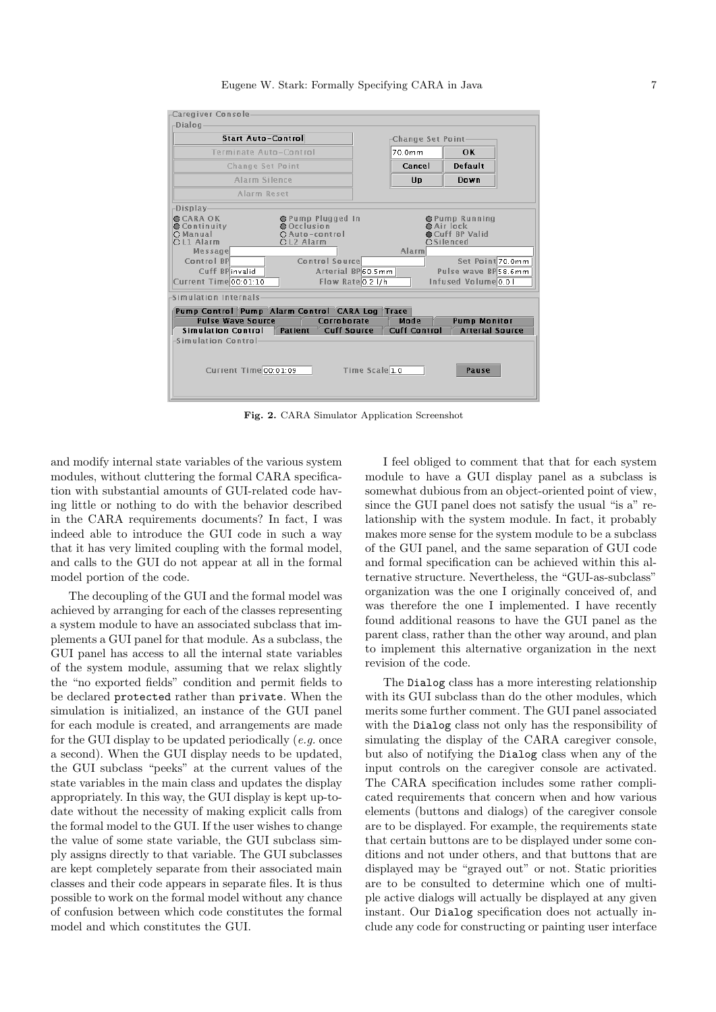| -Dialog                                                                                                                           |                                                                                                                                                                                                                                                                                                     |                                      |                                                        |  |
|-----------------------------------------------------------------------------------------------------------------------------------|-----------------------------------------------------------------------------------------------------------------------------------------------------------------------------------------------------------------------------------------------------------------------------------------------------|--------------------------------------|--------------------------------------------------------|--|
| <b>Start Auto-Control</b>                                                                                                         |                                                                                                                                                                                                                                                                                                     |                                      | Change Set Point-                                      |  |
| Terminate Auto-Control                                                                                                            |                                                                                                                                                                                                                                                                                                     | 70.0mm                               | OK                                                     |  |
| Change Set Point                                                                                                                  |                                                                                                                                                                                                                                                                                                     | Cancel                               | Default                                                |  |
| Alarm Silence                                                                                                                     |                                                                                                                                                                                                                                                                                                     | Up                                   | Down                                                   |  |
|                                                                                                                                   | Alarm Reset                                                                                                                                                                                                                                                                                         |                                      |                                                        |  |
| -Display-                                                                                                                         |                                                                                                                                                                                                                                                                                                     |                                      |                                                        |  |
| <b>GCARA OK</b><br><b>Continuity</b><br>C Manual<br>CL1 Alarm<br>Message<br>Control BP<br>Cuff BPinvalid<br>Current Time 00:01:10 | <b>C</b> Pump Plugged In<br><b>@Pump Running</b><br><b>a</b> Occlusion<br><b>@Airlock</b><br><b>Cuff BP Valid</b><br>C Auto-control<br>CL2 Alarm<br>CSilenced<br>Alarm<br>Set Point 70.0mm<br>Control Source<br>Pulse wave BP58.6mm<br>Arterial BP60.5mm<br>Infused Volume0.01<br>Flow Ratelo.2 I/h |                                      |                                                        |  |
| Simulation Internals-<br><b>Pulse Wave Source</b><br><b>Simulation Control</b><br>-Simulation Control<br>Current Time 00:01:09    | Pump Control Pump Alarm Control CARA Log<br>Corroborate<br><b>Cuff Source</b><br><b>Patient</b><br>Time Scale 1.0                                                                                                                                                                                   | Trace<br>Mode<br><b>Cuff Control</b> | <b>Pump Monitor</b><br><b>Arterial Source</b><br>Pause |  |

Fig. 2. CARA Simulator Application Screenshot

and modify internal state variables of the various system modules, without cluttering the formal CARA specification with substantial amounts of GUI-related code having little or nothing to do with the behavior described in the CARA requirements documents? In fact, I was indeed able to introduce the GUI code in such a way that it has very limited coupling with the formal model, and calls to the GUI do not appear at all in the formal model portion of the code.

The decoupling of the GUI and the formal model was achieved by arranging for each of the classes representing a system module to have an associated subclass that implements a GUI panel for that module. As a subclass, the GUI panel has access to all the internal state variables of the system module, assuming that we relax slightly the "no exported fields" condition and permit fields to be declared protected rather than private. When the simulation is initialized, an instance of the GUI panel for each module is created, and arrangements are made for the GUI display to be updated periodically  $(e.g.$  once a second). When the GUI display needs to be updated, the GUI subclass "peeks" at the current values of the state variables in the main class and updates the display appropriately. In this way, the GUI display is kept up-todate without the necessity of making explicit calls from the formal model to the GUI. If the user wishes to change the value of some state variable, the GUI subclass simply assigns directly to that variable. The GUI subclasses are kept completely separate from their associated main classes and their code appears in separate files. It is thus possible to work on the formal model without any chance of confusion between which code constitutes the formal model and which constitutes the GUI.

I feel obliged to comment that that for each system module to have a GUI display panel as a subclass is somewhat dubious from an object-oriented point of view, since the GUI panel does not satisfy the usual "is a" relationship with the system module. In fact, it probably makes more sense for the system module to be a subclass of the GUI panel, and the same separation of GUI code and formal specification can be achieved within this alternative structure. Nevertheless, the "GUI-as-subclass" organization was the one I originally conceived of, and was therefore the one I implemented. I have recently found additional reasons to have the GUI panel as the parent class, rather than the other way around, and plan to implement this alternative organization in the next revision of the code.

The Dialog class has a more interesting relationship with its GUI subclass than do the other modules, which merits some further comment. The GUI panel associated with the Dialog class not only has the responsibility of simulating the display of the CARA caregiver console, but also of notifying the Dialog class when any of the input controls on the caregiver console are activated. The CARA specification includes some rather complicated requirements that concern when and how various elements (buttons and dialogs) of the caregiver console are to be displayed. For example, the requirements state that certain buttons are to be displayed under some conditions and not under others, and that buttons that are displayed may be "grayed out" or not. Static priorities are to be consulted to determine which one of multiple active dialogs will actually be displayed at any given instant. Our Dialog specification does not actually include any code for constructing or painting user interface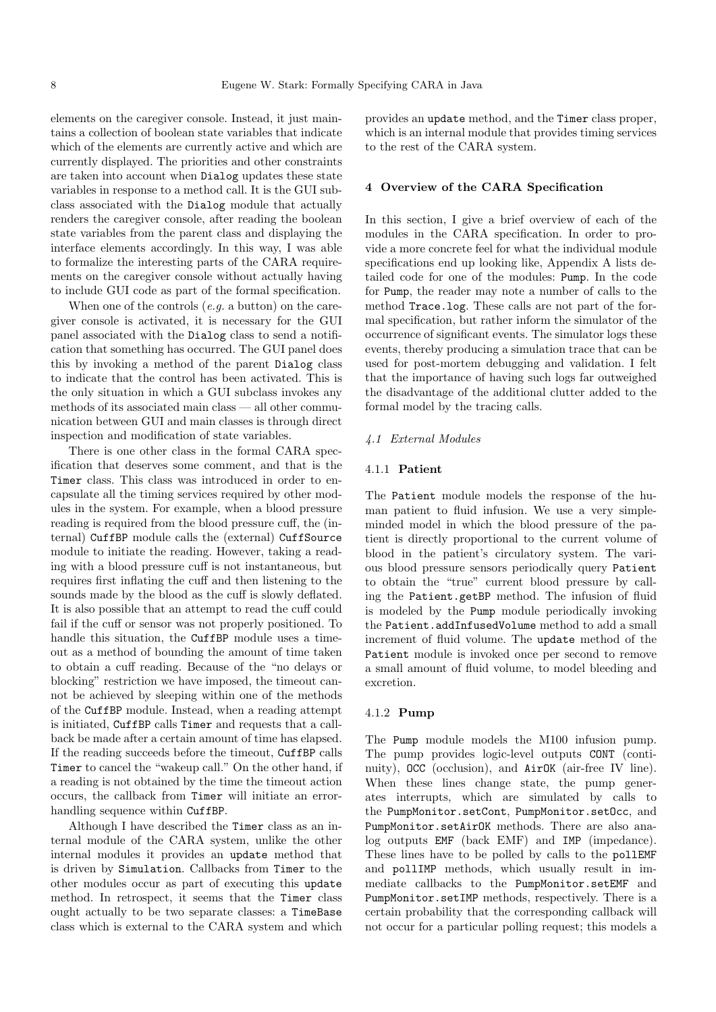elements on the caregiver console. Instead, it just maintains a collection of boolean state variables that indicate which of the elements are currently active and which are currently displayed. The priorities and other constraints are taken into account when Dialog updates these state variables in response to a method call. It is the GUI subclass associated with the Dialog module that actually renders the caregiver console, after reading the boolean state variables from the parent class and displaying the interface elements accordingly. In this way, I was able to formalize the interesting parts of the CARA requirements on the caregiver console without actually having to include GUI code as part of the formal specification.

When one of the controls  $(e.g.$  a button) on the caregiver console is activated, it is necessary for the GUI panel associated with the Dialog class to send a notification that something has occurred. The GUI panel does this by invoking a method of the parent Dialog class to indicate that the control has been activated. This is the only situation in which a GUI subclass invokes any methods of its associated main class — all other communication between GUI and main classes is through direct inspection and modification of state variables.

There is one other class in the formal CARA specification that deserves some comment, and that is the Timer class. This class was introduced in order to encapsulate all the timing services required by other modules in the system. For example, when a blood pressure reading is required from the blood pressure cuff, the (internal) CuffBP module calls the (external) CuffSource module to initiate the reading. However, taking a reading with a blood pressure cuff is not instantaneous, but requires first inflating the cuff and then listening to the sounds made by the blood as the cuff is slowly deflated. It is also possible that an attempt to read the cuff could fail if the cuff or sensor was not properly positioned. To handle this situation, the CuffBP module uses a timeout as a method of bounding the amount of time taken to obtain a cuff reading. Because of the "no delays or blocking" restriction we have imposed, the timeout cannot be achieved by sleeping within one of the methods of the CuffBP module. Instead, when a reading attempt is initiated, CuffBP calls Timer and requests that a callback be made after a certain amount of time has elapsed. If the reading succeeds before the timeout, CuffBP calls Timer to cancel the "wakeup call." On the other hand, if a reading is not obtained by the time the timeout action occurs, the callback from Timer will initiate an errorhandling sequence within CuffBP.

Although I have described the Timer class as an internal module of the CARA system, unlike the other internal modules it provides an update method that is driven by Simulation. Callbacks from Timer to the other modules occur as part of executing this update method. In retrospect, it seems that the Timer class ought actually to be two separate classes: a TimeBase class which is external to the CARA system and which provides an update method, and the Timer class proper, which is an internal module that provides timing services to the rest of the CARA system.

#### 4 Overview of the CARA Specification

In this section, I give a brief overview of each of the modules in the CARA specification. In order to provide a more concrete feel for what the individual module specifications end up looking like, Appendix A lists detailed code for one of the modules: Pump. In the code for Pump, the reader may note a number of calls to the method Trace.log. These calls are not part of the formal specification, but rather inform the simulator of the occurrence of significant events. The simulator logs these events, thereby producing a simulation trace that can be used for post-mortem debugging and validation. I felt that the importance of having such logs far outweighed the disadvantage of the additional clutter added to the formal model by the tracing calls.

#### 4.1 External Modules

## 4.1.1 Patient

The Patient module models the response of the human patient to fluid infusion. We use a very simpleminded model in which the blood pressure of the patient is directly proportional to the current volume of blood in the patient's circulatory system. The various blood pressure sensors periodically query Patient to obtain the "true" current blood pressure by calling the Patient.getBP method. The infusion of fluid is modeled by the Pump module periodically invoking the Patient.addInfusedVolume method to add a small increment of fluid volume. The update method of the Patient module is invoked once per second to remove a small amount of fluid volume, to model bleeding and excretion.

#### 4.1.2 Pump

The Pump module models the M100 infusion pump. The pump provides logic-level outputs CONT (continuity), OCC (occlusion), and AirOK (air-free IV line). When these lines change state, the pump generates interrupts, which are simulated by calls to the PumpMonitor.setCont, PumpMonitor.setOcc, and PumpMonitor.setAirOK methods. There are also analog outputs EMF (back EMF) and IMP (impedance). These lines have to be polled by calls to the pollEMF and pollIMP methods, which usually result in immediate callbacks to the PumpMonitor.setEMF and PumpMonitor.setIMP methods, respectively. There is a certain probability that the corresponding callback will not occur for a particular polling request; this models a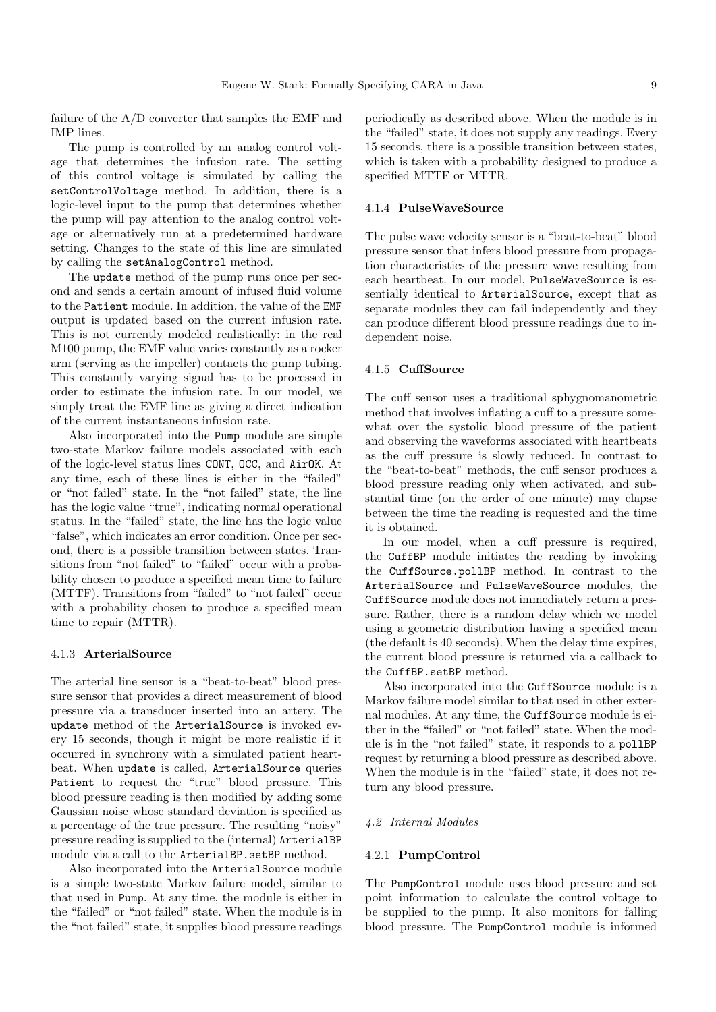failure of the A/D converter that samples the EMF and IMP lines.

The pump is controlled by an analog control voltage that determines the infusion rate. The setting of this control voltage is simulated by calling the setControlVoltage method. In addition, there is a logic-level input to the pump that determines whether the pump will pay attention to the analog control voltage or alternatively run at a predetermined hardware setting. Changes to the state of this line are simulated by calling the setAnalogControl method.

The update method of the pump runs once per second and sends a certain amount of infused fluid volume to the Patient module. In addition, the value of the EMF output is updated based on the current infusion rate. This is not currently modeled realistically: in the real M100 pump, the EMF value varies constantly as a rocker arm (serving as the impeller) contacts the pump tubing. This constantly varying signal has to be processed in order to estimate the infusion rate. In our model, we simply treat the EMF line as giving a direct indication of the current instantaneous infusion rate.

Also incorporated into the Pump module are simple two-state Markov failure models associated with each of the logic-level status lines CONT, OCC, and AirOK. At any time, each of these lines is either in the "failed" or "not failed" state. In the "not failed" state, the line has the logic value "true", indicating normal operational status. In the "failed" state, the line has the logic value "false", which indicates an error condition. Once per second, there is a possible transition between states. Transitions from "not failed" to "failed" occur with a probability chosen to produce a specified mean time to failure (MTTF). Transitions from "failed" to "not failed" occur with a probability chosen to produce a specified mean time to repair (MTTR).

#### 4.1.3 ArterialSource

The arterial line sensor is a "beat-to-beat" blood pressure sensor that provides a direct measurement of blood pressure via a transducer inserted into an artery. The update method of the ArterialSource is invoked every 15 seconds, though it might be more realistic if it occurred in synchrony with a simulated patient heartbeat. When update is called, ArterialSource queries Patient to request the "true" blood pressure. This blood pressure reading is then modified by adding some Gaussian noise whose standard deviation is specified as a percentage of the true pressure. The resulting "noisy" pressure reading is supplied to the (internal) ArterialBP module via a call to the ArterialBP.setBP method.

Also incorporated into the ArterialSource module is a simple two-state Markov failure model, similar to that used in Pump. At any time, the module is either in the "failed" or "not failed" state. When the module is in the "not failed" state, it supplies blood pressure readings periodically as described above. When the module is in the "failed" state, it does not supply any readings. Every 15 seconds, there is a possible transition between states, which is taken with a probability designed to produce a specified MTTF or MTTR.

#### 4.1.4 PulseWaveSource

The pulse wave velocity sensor is a "beat-to-beat" blood pressure sensor that infers blood pressure from propagation characteristics of the pressure wave resulting from each heartbeat. In our model, PulseWaveSource is essentially identical to ArterialSource, except that as separate modules they can fail independently and they can produce different blood pressure readings due to independent noise.

#### 4.1.5 CuffSource

The cuff sensor uses a traditional sphygnomanometric method that involves inflating a cuff to a pressure somewhat over the systolic blood pressure of the patient and observing the waveforms associated with heartbeats as the cuff pressure is slowly reduced. In contrast to the "beat-to-beat" methods, the cuff sensor produces a blood pressure reading only when activated, and substantial time (on the order of one minute) may elapse between the time the reading is requested and the time it is obtained.

In our model, when a cuff pressure is required, the CuffBP module initiates the reading by invoking the CuffSource.pollBP method. In contrast to the ArterialSource and PulseWaveSource modules, the CuffSource module does not immediately return a pressure. Rather, there is a random delay which we model using a geometric distribution having a specified mean (the default is 40 seconds). When the delay time expires, the current blood pressure is returned via a callback to the CuffBP.setBP method.

Also incorporated into the CuffSource module is a Markov failure model similar to that used in other external modules. At any time, the CuffSource module is either in the "failed" or "not failed" state. When the module is in the "not failed" state, it responds to a pollBP request by returning a blood pressure as described above. When the module is in the "failed" state, it does not return any blood pressure.

#### 4.2 Internal Modules

#### 4.2.1 PumpControl

The PumpControl module uses blood pressure and set point information to calculate the control voltage to be supplied to the pump. It also monitors for falling blood pressure. The PumpControl module is informed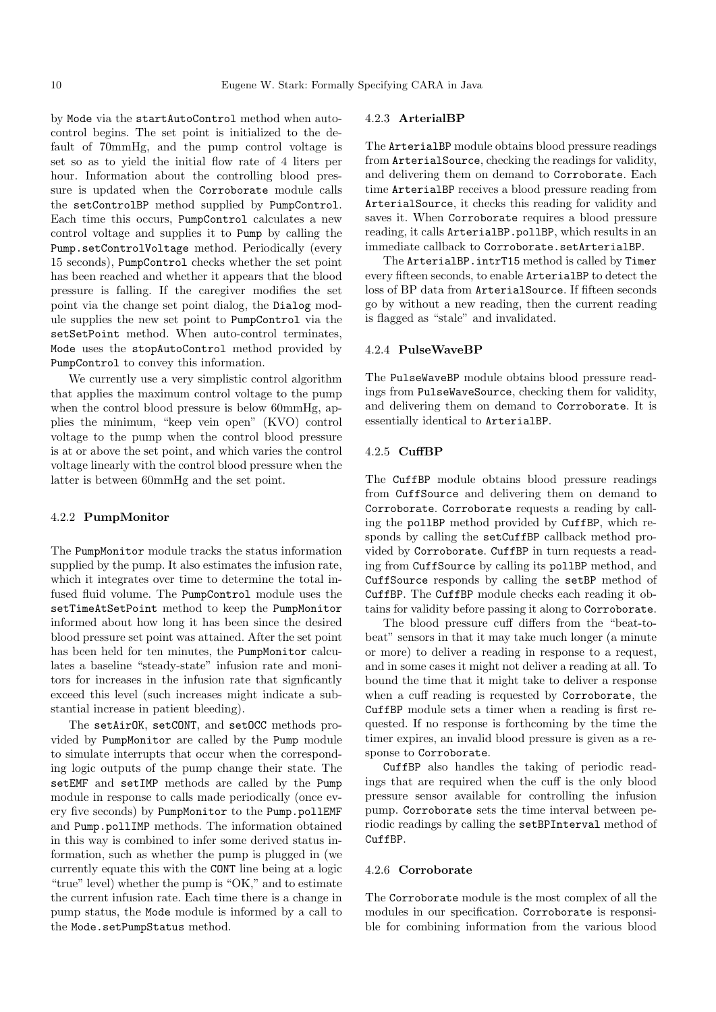by Mode via the startAutoControl method when autocontrol begins. The set point is initialized to the default of 70mmHg, and the pump control voltage is set so as to yield the initial flow rate of 4 liters per hour. Information about the controlling blood pressure is updated when the Corroborate module calls the setControlBP method supplied by PumpControl. Each time this occurs, PumpControl calculates a new control voltage and supplies it to Pump by calling the Pump.setControlVoltage method. Periodically (every 15 seconds), PumpControl checks whether the set point has been reached and whether it appears that the blood pressure is falling. If the caregiver modifies the set point via the change set point dialog, the Dialog module supplies the new set point to PumpControl via the setSetPoint method. When auto-control terminates, Mode uses the stopAutoControl method provided by PumpControl to convey this information.

We currently use a very simplistic control algorithm that applies the maximum control voltage to the pump when the control blood pressure is below 60mmHg, applies the minimum, "keep vein open" (KVO) control voltage to the pump when the control blood pressure is at or above the set point, and which varies the control voltage linearly with the control blood pressure when the latter is between 60mmHg and the set point.

#### 4.2.2 PumpMonitor

The PumpMonitor module tracks the status information supplied by the pump. It also estimates the infusion rate, which it integrates over time to determine the total infused fluid volume. The PumpControl module uses the setTimeAtSetPoint method to keep the PumpMonitor informed about how long it has been since the desired blood pressure set point was attained. After the set point has been held for ten minutes, the PumpMonitor calculates a baseline "steady-state" infusion rate and monitors for increases in the infusion rate that signficantly exceed this level (such increases might indicate a substantial increase in patient bleeding).

The setAirOK, setCONT, and setOCC methods provided by PumpMonitor are called by the Pump module to simulate interrupts that occur when the corresponding logic outputs of the pump change their state. The setEMF and setIMP methods are called by the Pump module in response to calls made periodically (once every five seconds) by PumpMonitor to the Pump.pollEMF and Pump.pollIMP methods. The information obtained in this way is combined to infer some derived status information, such as whether the pump is plugged in (we currently equate this with the CONT line being at a logic "true" level) whether the pump is "OK," and to estimate the current infusion rate. Each time there is a change in pump status, the Mode module is informed by a call to the Mode.setPumpStatus method.

#### 4.2.3 ArterialBP

The ArterialBP module obtains blood pressure readings from ArterialSource, checking the readings for validity, and delivering them on demand to Corroborate. Each time ArterialBP receives a blood pressure reading from ArterialSource, it checks this reading for validity and saves it. When Corroborate requires a blood pressure reading, it calls ArterialBP.pollBP, which results in an immediate callback to Corroborate.setArterialBP.

The ArterialBP.intrT15 method is called by Timer every fifteen seconds, to enable ArterialBP to detect the loss of BP data from ArterialSource. If fifteen seconds go by without a new reading, then the current reading is flagged as "stale" and invalidated.

#### 4.2.4 PulseWaveBP

The PulseWaveBP module obtains blood pressure readings from PulseWaveSource, checking them for validity, and delivering them on demand to Corroborate. It is essentially identical to ArterialBP.

### 4.2.5 CuffBP

The CuffBP module obtains blood pressure readings from CuffSource and delivering them on demand to Corroborate. Corroborate requests a reading by calling the pollBP method provided by CuffBP, which responds by calling the setCuffBP callback method provided by Corroborate. CuffBP in turn requests a reading from CuffSource by calling its pollBP method, and CuffSource responds by calling the setBP method of CuffBP. The CuffBP module checks each reading it obtains for validity before passing it along to Corroborate.

The blood pressure cuff differs from the "beat-tobeat" sensors in that it may take much longer (a minute or more) to deliver a reading in response to a request, and in some cases it might not deliver a reading at all. To bound the time that it might take to deliver a response when a cuff reading is requested by Corroborate, the CuffBP module sets a timer when a reading is first requested. If no response is forthcoming by the time the timer expires, an invalid blood pressure is given as a response to Corroborate.

CuffBP also handles the taking of periodic readings that are required when the cuff is the only blood pressure sensor available for controlling the infusion pump. Corroborate sets the time interval between periodic readings by calling the setBPInterval method of CuffBP.

#### 4.2.6 Corroborate

The Corroborate module is the most complex of all the modules in our specification. Corroborate is responsible for combining information from the various blood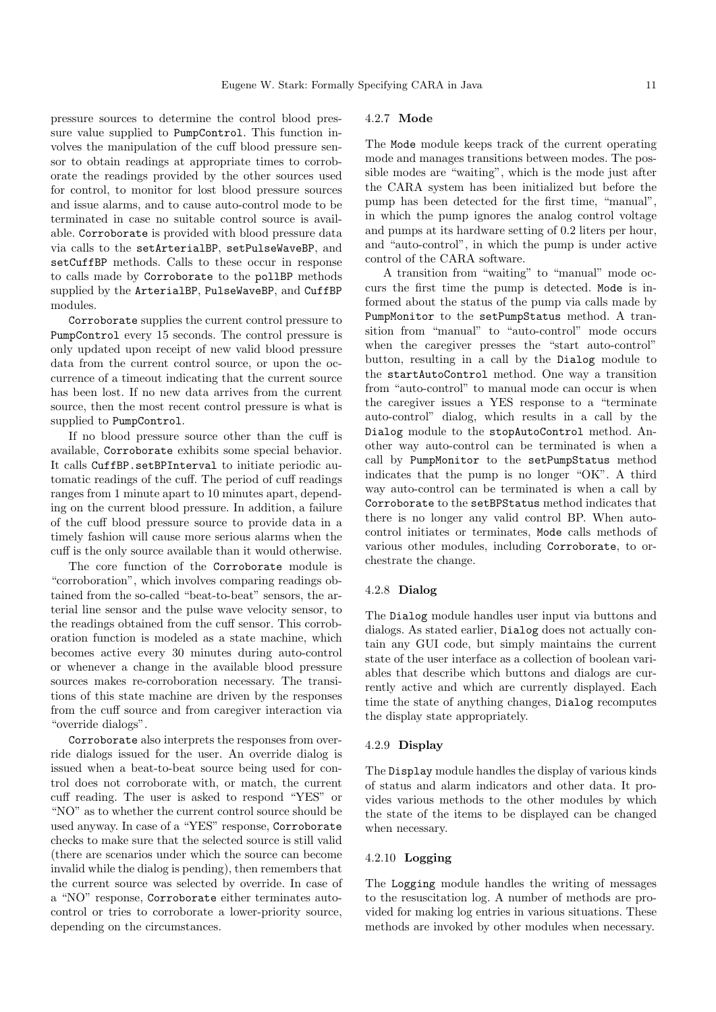pressure sources to determine the control blood pressure value supplied to PumpControl. This function involves the manipulation of the cuff blood pressure sensor to obtain readings at appropriate times to corroborate the readings provided by the other sources used for control, to monitor for lost blood pressure sources and issue alarms, and to cause auto-control mode to be terminated in case no suitable control source is available. Corroborate is provided with blood pressure data via calls to the setArterialBP, setPulseWaveBP, and setCuffBP methods. Calls to these occur in response to calls made by Corroborate to the pollBP methods supplied by the ArterialBP, PulseWaveBP, and CuffBP modules.

Corroborate supplies the current control pressure to PumpControl every 15 seconds. The control pressure is only updated upon receipt of new valid blood pressure data from the current control source, or upon the occurrence of a timeout indicating that the current source has been lost. If no new data arrives from the current source, then the most recent control pressure is what is supplied to PumpControl.

If no blood pressure source other than the cuff is available, Corroborate exhibits some special behavior. It calls CuffBP.setBPInterval to initiate periodic automatic readings of the cuff. The period of cuff readings ranges from 1 minute apart to 10 minutes apart, depending on the current blood pressure. In addition, a failure of the cuff blood pressure source to provide data in a timely fashion will cause more serious alarms when the cuff is the only source available than it would otherwise.

The core function of the Corroborate module is "corroboration", which involves comparing readings obtained from the so-called "beat-to-beat" sensors, the arterial line sensor and the pulse wave velocity sensor, to the readings obtained from the cuff sensor. This corroboration function is modeled as a state machine, which becomes active every 30 minutes during auto-control or whenever a change in the available blood pressure sources makes re-corroboration necessary. The transitions of this state machine are driven by the responses from the cuff source and from caregiver interaction via "override dialogs".

Corroborate also interprets the responses from override dialogs issued for the user. An override dialog is issued when a beat-to-beat source being used for control does not corroborate with, or match, the current cuff reading. The user is asked to respond "YES" or "NO" as to whether the current control source should be used anyway. In case of a "YES" response, Corroborate checks to make sure that the selected source is still valid (there are scenarios under which the source can become invalid while the dialog is pending), then remembers that the current source was selected by override. In case of a "NO" response, Corroborate either terminates autocontrol or tries to corroborate a lower-priority source, depending on the circumstances.

## 4.2.7 Mode

The Mode module keeps track of the current operating mode and manages transitions between modes. The possible modes are "waiting", which is the mode just after the CARA system has been initialized but before the pump has been detected for the first time, "manual", in which the pump ignores the analog control voltage and pumps at its hardware setting of 0.2 liters per hour, and "auto-control", in which the pump is under active control of the CARA software.

A transition from "waiting" to "manual" mode occurs the first time the pump is detected. Mode is informed about the status of the pump via calls made by PumpMonitor to the setPumpStatus method. A transition from "manual" to "auto-control" mode occurs when the caregiver presses the "start auto-control" button, resulting in a call by the Dialog module to the startAutoControl method. One way a transition from "auto-control" to manual mode can occur is when the caregiver issues a YES response to a "terminate auto-control" dialog, which results in a call by the Dialog module to the stopAutoControl method. Another way auto-control can be terminated is when a call by PumpMonitor to the setPumpStatus method indicates that the pump is no longer "OK". A third way auto-control can be terminated is when a call by Corroborate to the setBPStatus method indicates that there is no longer any valid control BP. When autocontrol initiates or terminates, Mode calls methods of various other modules, including Corroborate, to orchestrate the change.

## 4.2.8 Dialog

The Dialog module handles user input via buttons and dialogs. As stated earlier, Dialog does not actually contain any GUI code, but simply maintains the current state of the user interface as a collection of boolean variables that describe which buttons and dialogs are currently active and which are currently displayed. Each time the state of anything changes, Dialog recomputes the display state appropriately.

#### 4.2.9 Display

The Display module handles the display of various kinds of status and alarm indicators and other data. It provides various methods to the other modules by which the state of the items to be displayed can be changed when necessary.

## 4.2.10 Logging

The Logging module handles the writing of messages to the resuscitation log. A number of methods are provided for making log entries in various situations. These methods are invoked by other modules when necessary.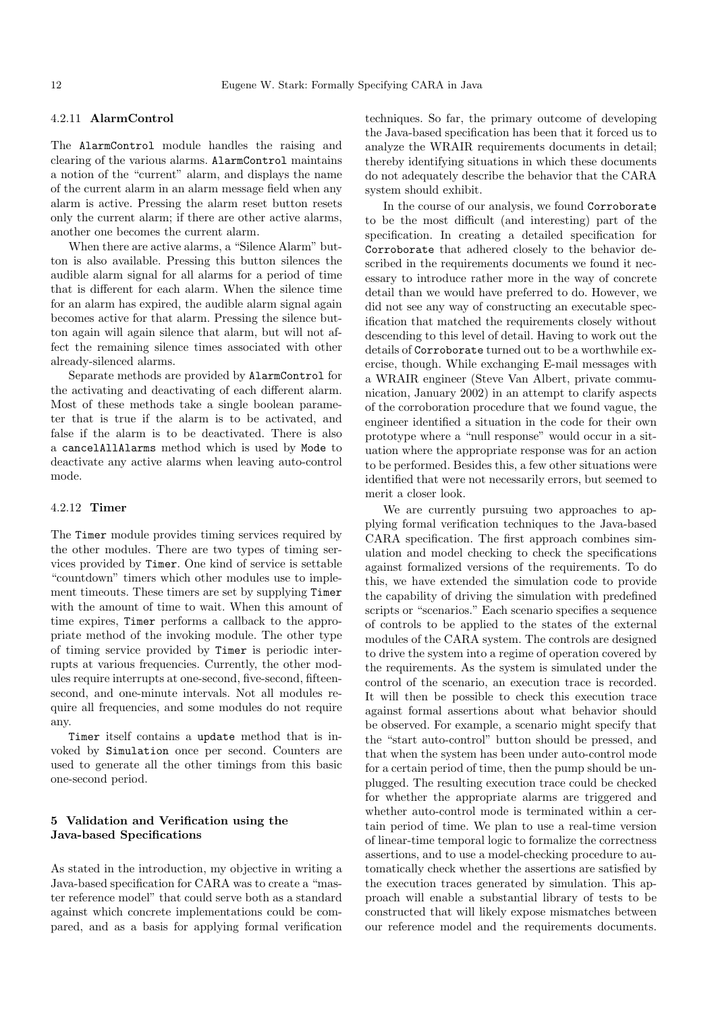# 4.2.11 AlarmControl

The AlarmControl module handles the raising and clearing of the various alarms. AlarmControl maintains a notion of the "current" alarm, and displays the name of the current alarm in an alarm message field when any alarm is active. Pressing the alarm reset button resets only the current alarm; if there are other active alarms, another one becomes the current alarm.

When there are active alarms, a "Silence Alarm" button is also available. Pressing this button silences the audible alarm signal for all alarms for a period of time that is different for each alarm. When the silence time for an alarm has expired, the audible alarm signal again becomes active for that alarm. Pressing the silence button again will again silence that alarm, but will not affect the remaining silence times associated with other already-silenced alarms.

Separate methods are provided by AlarmControl for the activating and deactivating of each different alarm. Most of these methods take a single boolean parameter that is true if the alarm is to be activated, and false if the alarm is to be deactivated. There is also a cancelAllAlarms method which is used by Mode to deactivate any active alarms when leaving auto-control mode.

# 4.2.12 Timer

The Timer module provides timing services required by the other modules. There are two types of timing services provided by Timer. One kind of service is settable "countdown" timers which other modules use to implement timeouts. These timers are set by supplying Timer with the amount of time to wait. When this amount of time expires, Timer performs a callback to the appropriate method of the invoking module. The other type of timing service provided by Timer is periodic interrupts at various frequencies. Currently, the other modules require interrupts at one-second, five-second, fifteensecond, and one-minute intervals. Not all modules require all frequencies, and some modules do not require any.

Timer itself contains a update method that is invoked by Simulation once per second. Counters are used to generate all the other timings from this basic one-second period.

# 5 Validation and Verification using the Java-based Specifications

As stated in the introduction, my objective in writing a Java-based specification for CARA was to create a "master reference model" that could serve both as a standard against which concrete implementations could be compared, and as a basis for applying formal verification techniques. So far, the primary outcome of developing the Java-based specification has been that it forced us to analyze the WRAIR requirements documents in detail; thereby identifying situations in which these documents do not adequately describe the behavior that the CARA system should exhibit.

In the course of our analysis, we found Corroborate to be the most difficult (and interesting) part of the specification. In creating a detailed specification for Corroborate that adhered closely to the behavior described in the requirements documents we found it necessary to introduce rather more in the way of concrete detail than we would have preferred to do. However, we did not see any way of constructing an executable specification that matched the requirements closely without descending to this level of detail. Having to work out the details of Corroborate turned out to be a worthwhile exercise, though. While exchanging E-mail messages with a WRAIR engineer (Steve Van Albert, private communication, January 2002) in an attempt to clarify aspects of the corroboration procedure that we found vague, the engineer identified a situation in the code for their own prototype where a "null response" would occur in a situation where the appropriate response was for an action to be performed. Besides this, a few other situations were identified that were not necessarily errors, but seemed to merit a closer look.

We are currently pursuing two approaches to applying formal verification techniques to the Java-based CARA specification. The first approach combines simulation and model checking to check the specifications against formalized versions of the requirements. To do this, we have extended the simulation code to provide the capability of driving the simulation with predefined scripts or "scenarios." Each scenario specifies a sequence of controls to be applied to the states of the external modules of the CARA system. The controls are designed to drive the system into a regime of operation covered by the requirements. As the system is simulated under the control of the scenario, an execution trace is recorded. It will then be possible to check this execution trace against formal assertions about what behavior should be observed. For example, a scenario might specify that the "start auto-control" button should be pressed, and that when the system has been under auto-control mode for a certain period of time, then the pump should be unplugged. The resulting execution trace could be checked for whether the appropriate alarms are triggered and whether auto-control mode is terminated within a certain period of time. We plan to use a real-time version of linear-time temporal logic to formalize the correctness assertions, and to use a model-checking procedure to automatically check whether the assertions are satisfied by the execution traces generated by simulation. This approach will enable a substantial library of tests to be constructed that will likely expose mismatches between our reference model and the requirements documents.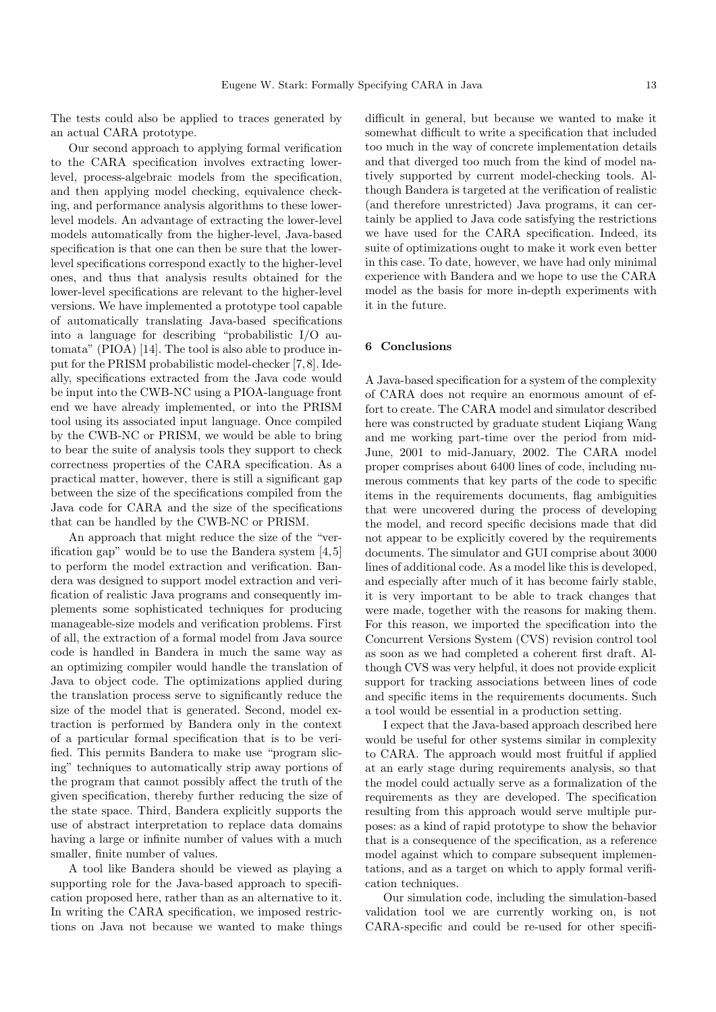The tests could also be applied to traces generated by an actual CARA prototype.

Our second approach to applying formal verification to the CARA specification involves extracting lowerlevel, process-algebraic models from the specification, and then applying model checking, equivalence checking, and performance analysis algorithms to these lowerlevel models. An advantage of extracting the lower-level models automatically from the higher-level, Java-based specification is that one can then be sure that the lowerlevel specifications correspond exactly to the higher-level ones, and thus that analysis results obtained for the lower-level specifications are relevant to the higher-level versions. We have implemented a prototype tool capable of automatically translating Java-based specifications into a language for describing "probabilistic I/O automata" (PIOA) [14]. The tool is also able to produce input for the PRISM probabilistic model-checker [7, 8]. Ideally, specifications extracted from the Java code would be input into the CWB-NC using a PIOA-language front end we have already implemented, or into the PRISM tool using its associated input language. Once compiled by the CWB-NC or PRISM, we would be able to bring to bear the suite of analysis tools they support to check correctness properties of the CARA specification. As a practical matter, however, there is still a significant gap between the size of the specifications compiled from the Java code for CARA and the size of the specifications that can be handled by the CWB-NC or PRISM.

An approach that might reduce the size of the "verification gap" would be to use the Bandera system [4,5] to perform the model extraction and verification. Bandera was designed to support model extraction and verification of realistic Java programs and consequently implements some sophisticated techniques for producing manageable-size models and verification problems. First of all, the extraction of a formal model from Java source code is handled in Bandera in much the same way as an optimizing compiler would handle the translation of Java to object code. The optimizations applied during the translation process serve to significantly reduce the size of the model that is generated. Second, model extraction is performed by Bandera only in the context of a particular formal specification that is to be verified. This permits Bandera to make use "program slicing" techniques to automatically strip away portions of the program that cannot possibly affect the truth of the given specification, thereby further reducing the size of the state space. Third, Bandera explicitly supports the use of abstract interpretation to replace data domains having a large or infinite number of values with a much smaller, finite number of values.

A tool like Bandera should be viewed as playing a supporting role for the Java-based approach to specification proposed here, rather than as an alternative to it. In writing the CARA specification, we imposed restrictions on Java not because we wanted to make things difficult in general, but because we wanted to make it somewhat difficult to write a specification that included too much in the way of concrete implementation details and that diverged too much from the kind of model natively supported by current model-checking tools. Although Bandera is targeted at the verification of realistic (and therefore unrestricted) Java programs, it can certainly be applied to Java code satisfying the restrictions we have used for the CARA specification. Indeed, its suite of optimizations ought to make it work even better in this case. To date, however, we have had only minimal experience with Bandera and we hope to use the CARA model as the basis for more in-depth experiments with it in the future.

#### 6 Conclusions

A Java-based specification for a system of the complexity of CARA does not require an enormous amount of effort to create. The CARA model and simulator described here was constructed by graduate student Liqiang Wang and me working part-time over the period from mid-June, 2001 to mid-January, 2002. The CARA model proper comprises about 6400 lines of code, including numerous comments that key parts of the code to specific items in the requirements documents, flag ambiguities that were uncovered during the process of developing the model, and record specific decisions made that did not appear to be explicitly covered by the requirements documents. The simulator and GUI comprise about 3000 lines of additional code. As a model like this is developed, and especially after much of it has become fairly stable, it is very important to be able to track changes that were made, together with the reasons for making them. For this reason, we imported the specification into the Concurrent Versions System (CVS) revision control tool as soon as we had completed a coherent first draft. Although CVS was very helpful, it does not provide explicit support for tracking associations between lines of code and specific items in the requirements documents. Such a tool would be essential in a production setting.

I expect that the Java-based approach described here would be useful for other systems similar in complexity to CARA. The approach would most fruitful if applied at an early stage during requirements analysis, so that the model could actually serve as a formalization of the requirements as they are developed. The specification resulting from this approach would serve multiple purposes: as a kind of rapid prototype to show the behavior that is a consequence of the specification, as a reference model against which to compare subsequent implementations, and as a target on which to apply formal verification techniques.

Our simulation code, including the simulation-based validation tool we are currently working on, is not CARA-specific and could be re-used for other specifi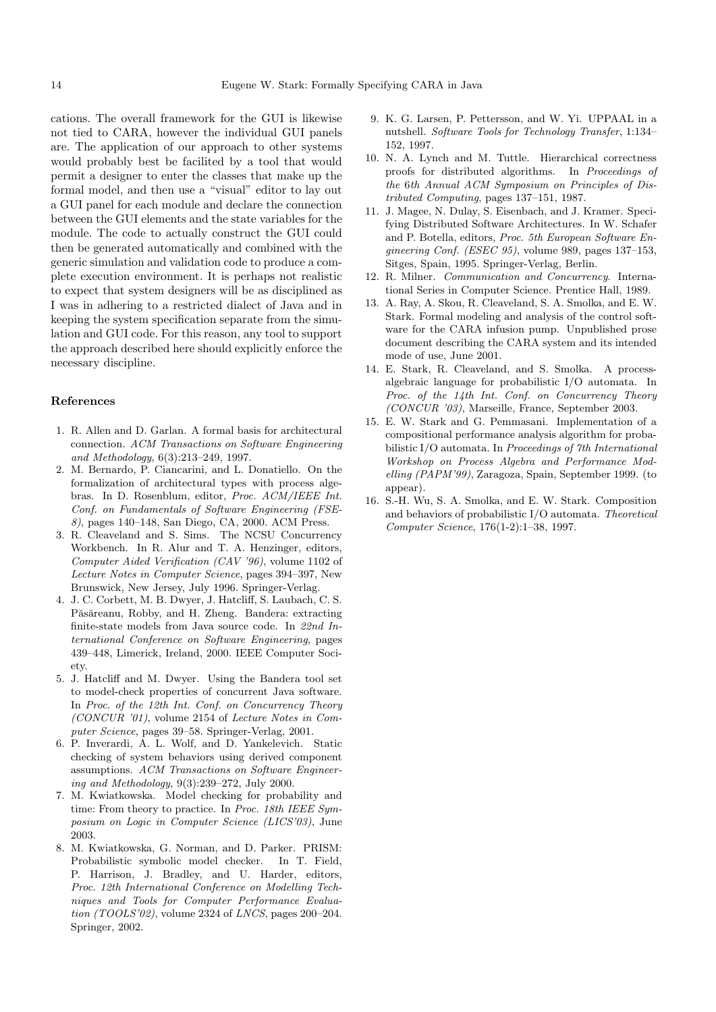cations. The overall framework for the GUI is likewise not tied to CARA, however the individual GUI panels are. The application of our approach to other systems would probably best be facilited by a tool that would permit a designer to enter the classes that make up the formal model, and then use a "visual" editor to lay out a GUI panel for each module and declare the connection between the GUI elements and the state variables for the module. The code to actually construct the GUI could then be generated automatically and combined with the generic simulation and validation code to produce a complete execution environment. It is perhaps not realistic to expect that system designers will be as disciplined as I was in adhering to a restricted dialect of Java and in keeping the system specification separate from the simulation and GUI code. For this reason, any tool to support the approach described here should explicitly enforce the necessary discipline.

# References

- 1. R. Allen and D. Garlan. A formal basis for architectural connection. ACM Transactions on Software Engineering and Methodology, 6(3):213–249, 1997.
- 2. M. Bernardo, P. Ciancarini, and L. Donatiello. On the formalization of architectural types with process algebras. In D. Rosenblum, editor, Proc. ACM/IEEE Int. Conf. on Fundamentals of Software Engineering (FSE-8), pages 140–148, San Diego, CA, 2000. ACM Press.
- 3. R. Cleaveland and S. Sims. The NCSU Concurrency Workbench. In R. Alur and T. A. Henzinger, editors, Computer Aided Verification (CAV '96), volume 1102 of Lecture Notes in Computer Science, pages 394–397, New Brunswick, New Jersey, July 1996. Springer-Verlag.
- 4. J. C. Corbett, M. B. Dwyer, J. Hatcliff, S. Laubach, C. S. Păsăreanu, Robby, and H. Zheng. Bandera: extracting finite-state models from Java source code. In 22nd International Conference on Software Engineering, pages 439–448, Limerick, Ireland, 2000. IEEE Computer Society.
- 5. J. Hatcliff and M. Dwyer. Using the Bandera tool set to model-check properties of concurrent Java software. In Proc. of the 12th Int. Conf. on Concurrency Theory (CONCUR '01), volume 2154 of Lecture Notes in Computer Science, pages 39–58. Springer-Verlag, 2001.
- 6. P. Inverardi, A. L. Wolf, and D. Yankelevich. Static checking of system behaviors using derived component assumptions. ACM Transactions on Software Engineering and Methodology, 9(3):239–272, July 2000.
- 7. M. Kwiatkowska. Model checking for probability and time: From theory to practice. In Proc. 18th IEEE Symposium on Logic in Computer Science (LICS'03), June 2003.
- 8. M. Kwiatkowska, G. Norman, and D. Parker. PRISM: Probabilistic symbolic model checker. In T. Field, P. Harrison, J. Bradley, and U. Harder, editors, Proc. 12th International Conference on Modelling Techniques and Tools for Computer Performance Evaluation (TOOLS'02), volume 2324 of LNCS, pages 200–204. Springer, 2002.
- 9. K. G. Larsen, P. Pettersson, and W. Yi. UPPAAL in a nutshell. Software Tools for Technology Transfer, 1:134– 152, 1997.
- 10. N. A. Lynch and M. Tuttle. Hierarchical correctness proofs for distributed algorithms. In Proceedings of the 6th Annual ACM Symposium on Principles of Distributed Computing, pages 137–151, 1987.
- 11. J. Magee, N. Dulay, S. Eisenbach, and J. Kramer. Specifying Distributed Software Architectures. In W. Schafer and P. Botella, editors, Proc. 5th European Software Engineering Conf. (ESEC 95), volume 989, pages 137–153, Sitges, Spain, 1995. Springer-Verlag, Berlin.
- 12. R. Milner. Communication and Concurrency. International Series in Computer Science. Prentice Hall, 1989.
- 13. A. Ray, A. Skou, R. Cleaveland, S. A. Smolka, and E. W. Stark. Formal modeling and analysis of the control software for the CARA infusion pump. Unpublished prose document describing the CARA system and its intended mode of use, June 2001.
- 14. E. Stark, R. Cleaveland, and S. Smolka. A processalgebraic language for probabilistic I/O automata. In Proc. of the 14th Int. Conf. on Concurrency Theory (CONCUR '03), Marseille, France, September 2003.
- 15. E. W. Stark and G. Pemmasani. Implementation of a compositional performance analysis algorithm for probabilistic I/O automata. In Proceedings of 7th International Workshop on Process Algebra and Performance Modelling (PAPM'99), Zaragoza, Spain, September 1999. (to appear).
- 16. S.-H. Wu, S. A. Smolka, and E. W. Stark. Composition and behaviors of probabilistic I/O automata. Theoretical Computer Science, 176(1-2):1–38, 1997.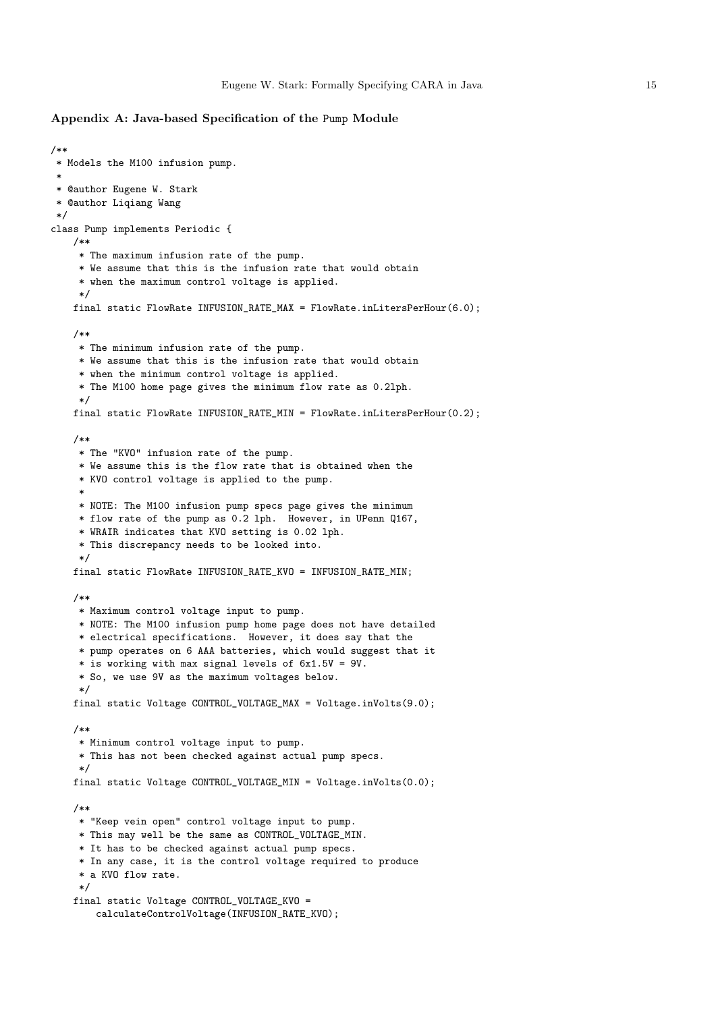#### Appendix A: Java-based Specification of the Pump Module

/\*\*

```
* Models the M100 infusion pump.
 *
* @author Eugene W. Stark
* @author Liqiang Wang
*/
class Pump implements Periodic {
   /**
     * The maximum infusion rate of the pump.
     * We assume that this is the infusion rate that would obtain
     * when the maximum control voltage is applied.
     */
   final static FlowRate INFUSION_RATE_MAX = FlowRate.inLitersPerHour(6.0);
    /**
     * The minimum infusion rate of the pump.
     * We assume that this is the infusion rate that would obtain
     * when the minimum control voltage is applied.
     * The M100 home page gives the minimum flow rate as 0.2lph.
    */
    final static FlowRate INFUSION_RATE_MIN = FlowRate.inLitersPerHour(0.2);
    /**
     * The "KVO" infusion rate of the pump.
     * We assume this is the flow rate that is obtained when the
     * KVO control voltage is applied to the pump.
     *
     * NOTE: The M100 infusion pump specs page gives the minimum
     * flow rate of the pump as 0.2 lph. However, in UPenn Q167,
     * WRAIR indicates that KVO setting is 0.02 lph.
     * This discrepancy needs to be looked into.
     */
    final static FlowRate INFUSION_RATE_KVO = INFUSION_RATE_MIN;
    /**
     * Maximum control voltage input to pump.
     * NOTE: The M100 infusion pump home page does not have detailed
     * electrical specifications. However, it does say that the
     * pump operates on 6 AAA batteries, which would suggest that it
     * is working with max signal levels of 6x1.5V = 9V.
     * So, we use 9V as the maximum voltages below.
     */
   final static Voltage CONTROL_VOLTAGE_MAX = Voltage.inVolts(9.0);
    /**
     * Minimum control voltage input to pump.
     * This has not been checked against actual pump specs.
     */
    final static Voltage CONTROL_VOLTAGE_MIN = Voltage.inVolts(0.0);
    /**
     * "Keep vein open" control voltage input to pump.
     * This may well be the same as CONTROL_VOLTAGE_MIN.
     * It has to be checked against actual pump specs.
     * In any case, it is the control voltage required to produce
     * a KVO flow rate.
     */
    final static Voltage CONTROL_VOLTAGE_KVO =
        calculateControlVoltage(INFUSION_RATE_KVO);
```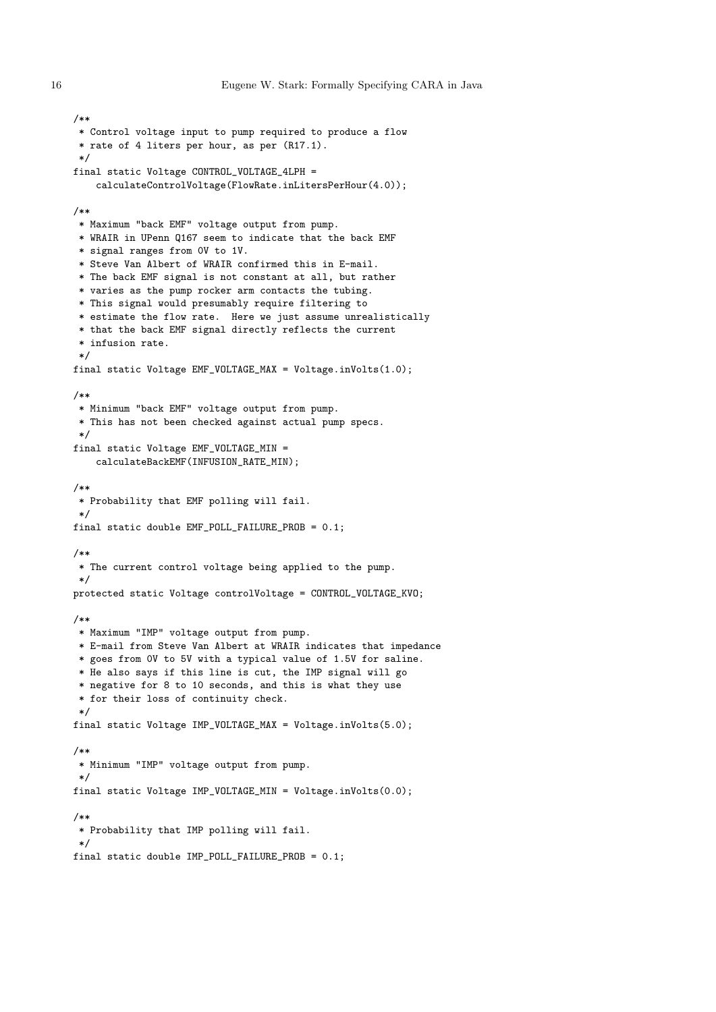```
/**
 * Control voltage input to pump required to produce a flow
 * rate of 4 liters per hour, as per (R17.1).
*/
final static Voltage CONTROL_VOLTAGE_4LPH =
    calculateControlVoltage(FlowRate.inLitersPerHour(4.0));
/**
 * Maximum "back EMF" voltage output from pump.
 * WRAIR in UPenn Q167 seem to indicate that the back EMF
 * signal ranges from 0V to 1V.
 * Steve Van Albert of WRAIR confirmed this in E-mail.
 * The back EMF signal is not constant at all, but rather
 * varies as the pump rocker arm contacts the tubing.
 * This signal would presumably require filtering to
 * estimate the flow rate. Here we just assume unrealistically
 * that the back EMF signal directly reflects the current
 * infusion rate.
 */
final static Voltage EMF_VOLTAGE_MAX = Voltage.inVolts(1.0);
/**
* Minimum "back EMF" voltage output from pump.
 * This has not been checked against actual pump specs.
 */
final static Voltage EMF_VOLTAGE_MIN =
    calculateBackEMF(INFUSION_RATE_MIN);
/**
 * Probability that EMF polling will fail.
*/
final static double EMF_POLL_FAILURE_PROB = 0.1;
/**
* The current control voltage being applied to the pump.
*/
protected static Voltage controlVoltage = CONTROL_VOLTAGE_KVO;
/**
 * Maximum "IMP" voltage output from pump.
 * E-mail from Steve Van Albert at WRAIR indicates that impedance
 * goes from 0V to 5V with a typical value of 1.5V for saline.
 * He also says if this line is cut, the IMP signal will go
 * negative for 8 to 10 seconds, and this is what they use
 * for their loss of continuity check.
 */
final static Voltage IMP_VOLTAGE_MAX = Voltage.inVolts(5.0);
/**
 * Minimum "IMP" voltage output from pump.
*/
final static Voltage IMP_VOLTAGE_MIN = Voltage.inVolts(0.0);
/**
 * Probability that IMP polling will fail.
*/
final static double IMP_POLL_FAILURE_PROB = 0.1;
```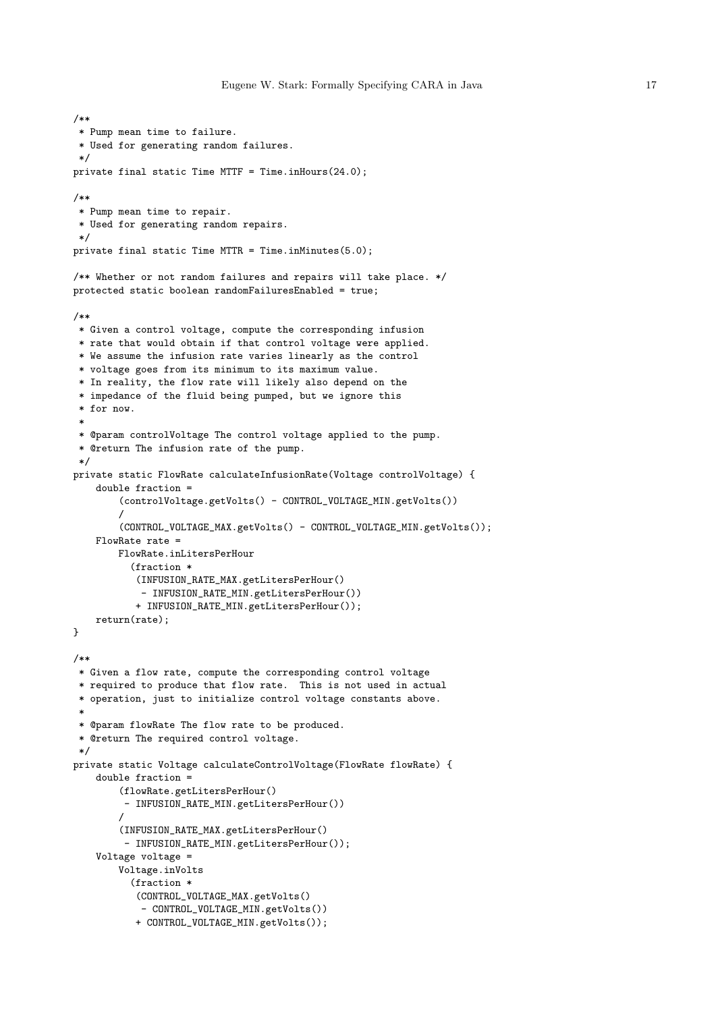```
/**
 * Pump mean time to failure.
 * Used for generating random failures.
 */
private final static Time MTTF = Time.inHours(24.0);
/**
 * Pump mean time to repair.
 * Used for generating random repairs.
 */
private final static Time MTTR = Time.inMinutes(5.0);
/** Whether or not random failures and repairs will take place. */
protected static boolean randomFailuresEnabled = true;
/**
 * Given a control voltage, compute the corresponding infusion
 * rate that would obtain if that control voltage were applied.
 * We assume the infusion rate varies linearly as the control
 * voltage goes from its minimum to its maximum value.
 * In reality, the flow rate will likely also depend on the
 * impedance of the fluid being pumped, but we ignore this
 * for now.
 *
 * @param controlVoltage The control voltage applied to the pump.
 * @return The infusion rate of the pump.
 */
private static FlowRate calculateInfusionRate(Voltage controlVoltage) {
    double fraction =
        (controlVoltage.getVolts() - CONTROL_VOLTAGE_MIN.getVolts())
        /
        (CONTROL_VOLTAGE_MAX.getVolts() - CONTROL_VOLTAGE_MIN.getVolts());
    FlowRate rate =
        FlowRate.inLitersPerHour
          (fraction *
           (INFUSION_RATE_MAX.getLitersPerHour()
             - INFUSION_RATE_MIN.getLitersPerHour())
           + INFUSION_RATE_MIN.getLitersPerHour());
    return(rate);
}
/**
 * Given a flow rate, compute the corresponding control voltage
 * required to produce that flow rate. This is not used in actual
 * operation, just to initialize control voltage constants above.
 *
 * @param flowRate The flow rate to be produced.
 * @return The required control voltage.
 */
private static Voltage calculateControlVoltage(FlowRate flowRate) {
    double fraction =
        (flowRate.getLitersPerHour()
         - INFUSION_RATE_MIN.getLitersPerHour())
        /
        (INFUSION_RATE_MAX.getLitersPerHour()
         - INFUSION_RATE_MIN.getLitersPerHour());
    Voltage voltage =
        Voltage.inVolts
          (fraction *
           (CONTROL_VOLTAGE_MAX.getVolts()
            - CONTROL_VOLTAGE_MIN.getVolts())
           + CONTROL_VOLTAGE_MIN.getVolts());
```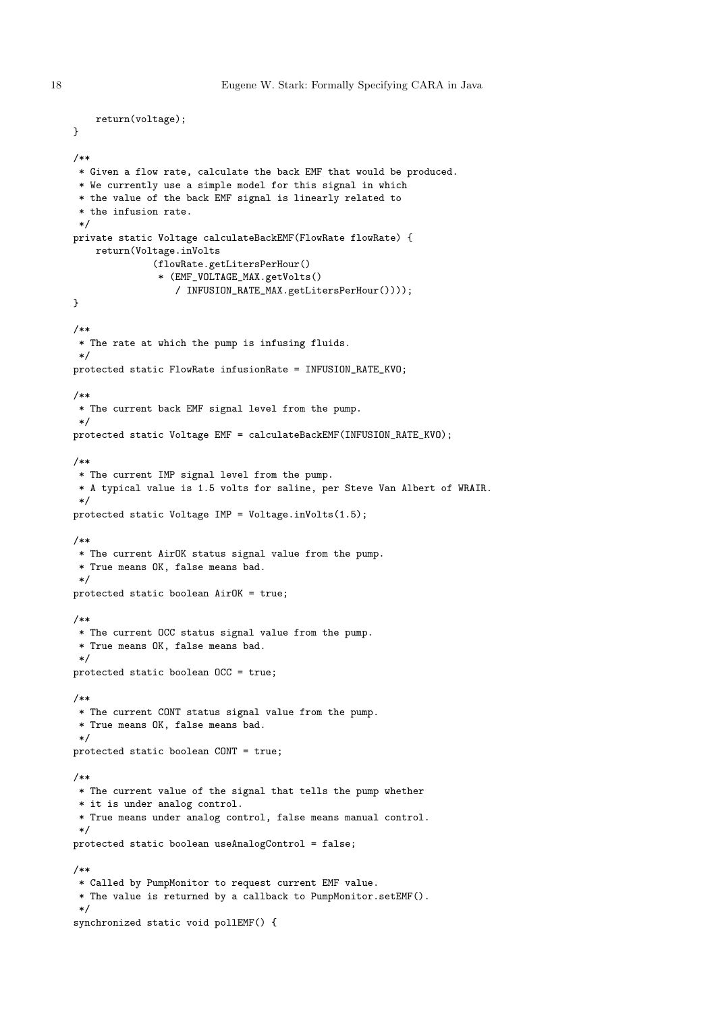```
return(voltage);
}
/**
 * Given a flow rate, calculate the back EMF that would be produced.
 * We currently use a simple model for this signal in which
 * the value of the back EMF signal is linearly related to
 * the infusion rate.
*/
private static Voltage calculateBackEMF(FlowRate flowRate) {
   return(Voltage.inVolts
              (flowRate.getLitersPerHour()
               * (EMF_VOLTAGE_MAX.getVolts()
                  / INFUSION_RATE_MAX.getLitersPerHour())));
}
/**
 * The rate at which the pump is infusing fluids.
*/
protected static FlowRate infusionRate = INFUSION_RATE_KVO;
/**
* The current back EMF signal level from the pump.
*/
protected static Voltage EMF = calculateBackEMF(INFUSION_RATE_KVO);
/**
* The current IMP signal level from the pump.
* A typical value is 1.5 volts for saline, per Steve Van Albert of WRAIR.
*/
protected static Voltage IMP = Voltage.inVolts(1.5);
/**
* The current AirOK status signal value from the pump.
* True means OK, false means bad.
*/
protected static boolean AirOK = true;
/**
 * The current OCC status signal value from the pump.
 * True means OK, false means bad.
*/
protected static boolean OCC = true;
/**
 * The current CONT status signal value from the pump.
 * True means OK, false means bad.
 */
protected static boolean CONT = true;
/**
* The current value of the signal that tells the pump whether
 * it is under analog control.
 * True means under analog control, false means manual control.
*/
protected static boolean useAnalogControl = false;
/**
 * Called by PumpMonitor to request current EMF value.
 * The value is returned by a callback to PumpMonitor.setEMF().
 */
synchronized static void pollEMF() {
```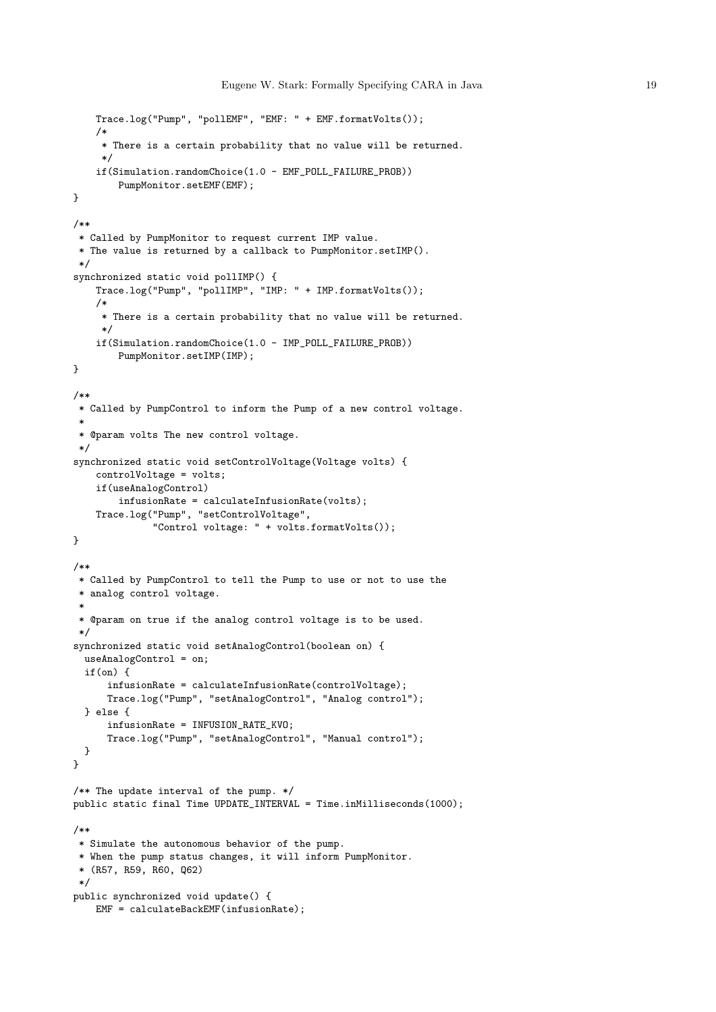```
Trace.log("Pump", "pollEMF", "EMF: " + EMF.formatVolts());
    /*
     * There is a certain probability that no value will be returned.
     */
    if(Simulation.randomChoice(1.0 - EMF_POLL_FAILURE_PROB))
        PumpMonitor.setEMF(EMF);
}
/**
 * Called by PumpMonitor to request current IMP value.
 * The value is returned by a callback to PumpMonitor.setIMP().
*/
synchronized static void pollIMP() {
    Trace.log("Pump", "pollIMP", "IMP: " + IMP.formatVolts());
    /*
     * There is a certain probability that no value will be returned.
     */
    if(Simulation.randomChoice(1.0 - IMP_POLL_FAILURE_PROB))
        PumpMonitor.setIMP(IMP);
}
/**
 * Called by PumpControl to inform the Pump of a new control voltage.
 *
 * @param volts The new control voltage.
 */
synchronized static void setControlVoltage(Voltage volts) {
    controlVoltage = volts;
    if(useAnalogControl)
        infusionRate = calculateInfusionRate(volts);
    Trace.log("Pump", "setControlVoltage",
              "Control voltage: " + volts.formatVolts());
}
/**
 * Called by PumpControl to tell the Pump to use or not to use the
 * analog control voltage.
 *
 * @param on true if the analog control voltage is to be used.
 */
synchronized static void setAnalogControl(boolean on) {
  useAnalogControl = on;
  if(on){
      infusionRate = calculateInfusionRate(controlVoltage);
      Trace.log("Pump", "setAnalogControl", "Analog control");
  } else {
      infusionRate = INFUSION_RATE_KVO;
      Trace.log("Pump", "setAnalogControl", "Manual control");
  }
}
/** The update interval of the pump. */
public static final Time UPDATE_INTERVAL = Time.inMilliseconds(1000);
/**
 * Simulate the autonomous behavior of the pump.
 * When the pump status changes, it will inform PumpMonitor.
 * (R57, R59, R60, Q62)
 */
public synchronized void update() {
    EMF = calculateBackEMF(infusionRate);
```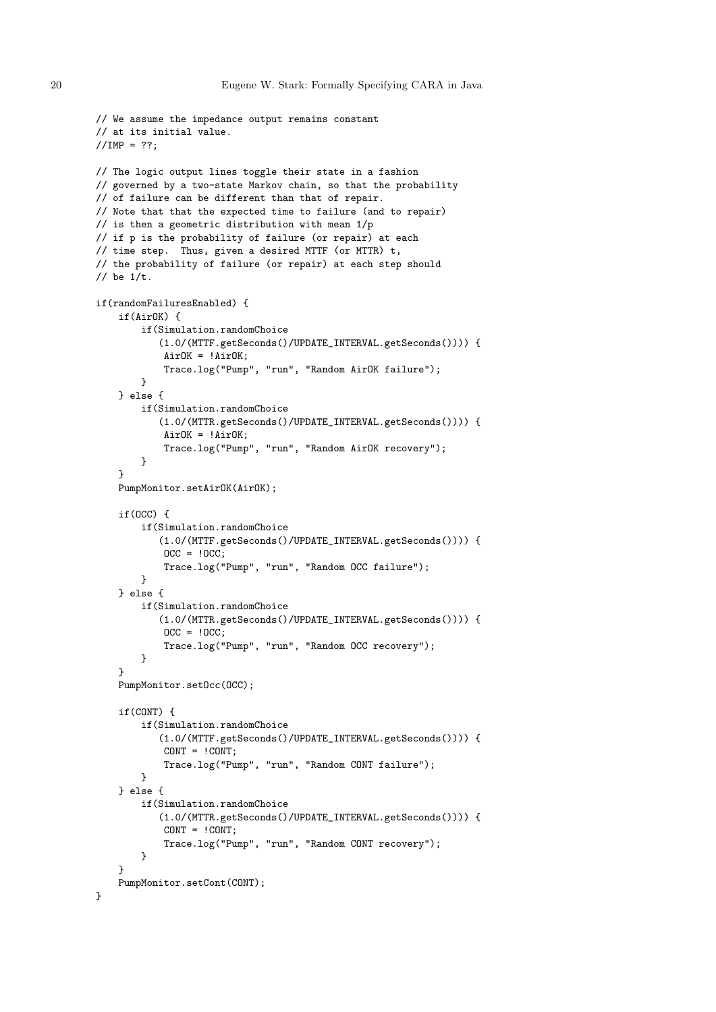```
// We assume the impedance output remains constant
// at its initial value.
//IMP = ??;
// The logic output lines toggle their state in a fashion
// governed by a two-state Markov chain, so that the probability
// of failure can be different than that of repair.
// Note that that the expected time to failure (and to repair)
// is then a geometric distribution with mean 1/p
// if p is the probability of failure (or repair) at each
// time step. Thus, given a desired MTTF (or MTTR) t,
// the probability of failure (or repair) at each step should
// be 1/t.
if(randomFailuresEnabled) {
    if(AirOK) {
        if(Simulation.randomChoice
           (1.0/(MTTF.getSeconds()/UPDATE_INTERVAL.getSeconds()))) {
            AirOK = !AirOK;Trace.log("Pump", "run", "Random AirOK failure");
        }
    } else {
        if(Simulation.randomChoice
           (1.0/(MTTR.getSeconds()/UPDATE_INTERVAL.getSeconds()))) {
            AirOK = !AirOK;Trace.log("Pump", "run", "Random AirOK recovery");
        }
    }
    PumpMonitor.setAirOK(AirOK);
    if(OCC) {
        if(Simulation.randomChoice
           (1.0/(MTTF.getSeconds()/UPDATE_INTERVAL.getSeconds()))) {
            OCC = 10CC;
            Trace.log("Pump", "run", "Random OCC failure");
        }
    } else {
        if(Simulation.randomChoice
           (1.0/(MTTR.getSeconds()/UPDATE_INTERVAL.getSeconds()))) {
            OCC = 10CC;Trace.log("Pump", "run", "Random OCC recovery");
        }
    }
    PumpMonitor.setOcc(OCC);
    if(CONT) {
        if(Simulation.randomChoice
           (1.0/(MTTF.getSeconds()/UPDATE_INTERVAL.getSeconds()))) {
            CONT = !CONT;
            Trace.log("Pump", "run", "Random CONT failure");
        }
    } else {
        if(Simulation.randomChoice
           (1.0/(MTTR.getSeconds()/UPDATE_INTERVAL.getSeconds()))) {
            CONT = !CONT;
            Trace.log("Pump", "run", "Random CONT recovery");
        }
    }
    PumpMonitor.setCont(CONT);
}
```